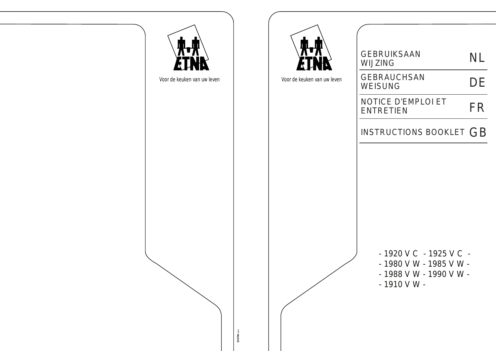

- 1920 V C 1925 V C - 1980 V W - 1985 V W - - 1988 V W - 1990 V W -
- 1910 V W -

| <b>GEBRUIKSAAN</b><br>WIJZING   | <b>NL</b> |
|---------------------------------|-----------|
| <b>GEBRAUCHSAN</b><br>WEISUNG   | DE        |
| NOTICE D'EMPLOI ET<br>ENTRETIEN | FR        |
| INSTRUCTIONS BOOKLET $GB$       |           |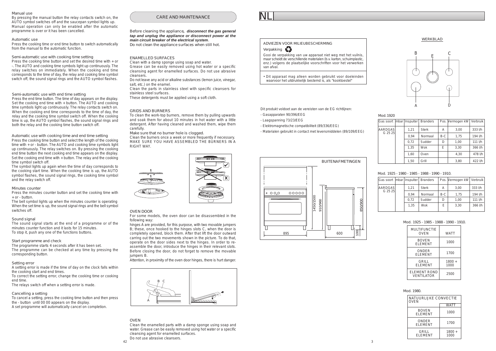Dit produkt voldoet aan de vereisten van de EG richtlijnen:

- Gasapparaten 90/396/EEG
- Laagspanning 73/23/EEG
- Elektromagnetische compatibiliteit (89/336/EEG)
- Materialen gebruikt in contact met levensmiddelen (89/109/EEG)



# Verpakking

Gooi de verpakking van uw apparaat niet weg met het vuilnis, maar scheidt de verschillende materialen (b.v. karton, schuimplastic, enz.) volgens de plaatselijke voorschriften voor het verwerken van afval.

• Dit apparaat mag alleen worden gebruikt voor doeleinden waarvoor het uitdrukkelijk bestemd is, als "kooktoestel"

# Mod.1920

| Gas soort                 | mbar   Inspuiter | <b>Branders</b> |       | Pos. Vermogen kW | Verbruik |
|---------------------------|------------------|-----------------|-------|------------------|----------|
| <b>AARDGAS</b><br>G 25 25 | 1,21             | <b>Sterk</b>    | А     | 3,00             | 333 l/h  |
|                           | 0.94             | Normaal         | $B-C$ | 1,75             | 194 l/h  |
|                           | 0.72             | Sudder          | D     | 1,00             | 111 l/h  |
|                           | 1,35             | Wok             | E     | 3,30             | 366 l/h  |
|                           | 1,60             | Oven            |       | 4,30             | 478 l/h  |
|                           | 1,50             | Grill           |       | 3,80             | 422 l/h  |

Mod. 1925 - 1980 - 1985 - 1988 - 1990 - 1910.

# WERKBLAD

| Gas soort   mbar   Inspuiter   Branders |      |              |       | Pos. Vermogen kW   Verbruik |             |
|-----------------------------------------|------|--------------|-------|-----------------------------|-------------|
| <b>AARDGAS</b>                          | 1.21 | <b>Sterk</b> | A     | 3,00                        | 333 l/h     |
| G 25 25                                 | 0.94 | Normaal      | $B-C$ | 1,75                        | 194 l/h     |
|                                         | 0.72 | Sudder       | D     | 1,00                        | $111$ $1/h$ |
|                                         | 1.35 | Wok          | E     | 3,30                        | 366 l/h     |
|                                         |      |              |       |                             |             |

| <b>MULTIFUNCTIE</b><br><b>OVEN</b>       | <b>WATT</b>      |
|------------------------------------------|------------------|
| <b>BOVEN</b><br><b>ELEMENT</b>           | 1000             |
| <b>ONDER</b><br><b>ELEMENT</b>           | 1700             |
| GRILL<br><b>ELEMENT</b>                  | $1800 +$<br>1000 |
| <b>ELEMENT ROND</b><br><b>VENTILATOR</b> | 2500             |

# Mod. 1925 - 1985 - 1988 - 1990 - 1910.





| NATUURLIJKE CONVECTIE<br>OVEN  |                  |  |
|--------------------------------|------------------|--|
|                                | <b>WATT</b>      |  |
| <b>BOVEN</b><br><b>ELEMENT</b> | 1000             |  |
| ONDER<br><b>ELEMENT</b>        | 1700             |  |
| <b>GRILL</b><br><b>ELEMENT</b> | $1800 +$<br>1000 |  |

Mod. 1980.



# Semi-automatic use with end time setting

Press the end time button. The time of day appears on the display. Set the cooking end time with + button. The AUTO and cooking time symbols light up continuously. The relay contacts switch on. When the cooking end time corresponds to the time of day, the relay and the cooking time symbol switch off. When the cooking time is up, the AUTO symbol flashes, the sound signal rings and both the relay and the cooking time button switch off.

# Manual use

By pressing the manual button the relay contacts switch on, the AUTO symbol switches off and the saucepan symbol lights up. Manual operation can only be enabled after the automatic programme is over or it has been cancelled.

# Automatic use

Press the cooking time or end time button to switch automatically from the manual to the automatic function.

# Semi-automatic use with cooking time setting

Press the cooking time button and set the desired time with + or -. The AUTO and cooking time symbols light up continuously. The relay switches on immediately. When the cooking end time corresponds to the time of day, the relay and cooking time symbol switch off, the sound signal rings and the AUTO symbol flashes.

Press the minutes counter button and set the cooking time with  $+$  or - button.

Before cleaning the appliance*, disconnect the gas general tap and unplug the appliance or disconnect power at the main circuit breaker of the electrical system*. Do not clean the appliance surfaces when still hot.

# ENAMELLED SURFACES

Clean with a damp sponge using soap and water.

Grease can be easily removed using hot water or a specific cleansing agent for enamelled surfaces. Do not use abrasive cleansers.

Do not leave any acid or alkaline substances (lemon juice, vinegar, salt, etc.) on the enamel.

Clean the parts in stainless steel with specific cleansers for stainless steel surfaces.

These detergents must be applied using a soft cloth.

# GRIDS AND BURNERS

To clean the work-top burners, remove them by pulling upwards and soak them for about 10 minutes in hot water with a little detergent. After having cleaned and washed them, wipe them carefully.

Make sure that no burner hole is clogged.

Clean the burners once a week or more frequently if necessary. MAKE SURE YOU HAVE ASSEMBLED THE BURNERS IN A RIGHT WAY.



# CARE AND MAINTENANCE

# Sound signal

The sound signal starts at the end of a programme or of the minutes counter function and it lasts for 15 minutes. To stop it, push any one of the functions buttons.

# Start programme and check

The programme starts 4 seconds after it has been set. The programme can be checked at any time by pressing the corresponding button.

# Setting error

A setting error is made if the time of day on the clock falls within the cooking start and end times.

To correct the setting error, change the cooking time or cooking end time.

The relays switch off when a setting error is made.

# Cancelling a setting

To cancel a setting, press the cooking time button and then press the - button until 00 00 appears on the display. A set programme will automatically cancel on completion.

When the set time is up, the sound signal rings and the bell symbol switches off. The bell symbol lights up when the minutes counter is operating

# Automatic use with cooking time and end time setting

Press the cooking time button and select the length of the cooking time with + or - button. The AUTO and cooking time symbols light up continuously. The relay switches on. By pressing the cooking end time button the next cooking end time appears on the display. Set the cooking end time with  $+$  button. The relay and the cooking time symbol switch off.

The symbol lights up again when the time of day corresponds to the cooking start time. When the cooking time is up, the AUTO symbol flashes, the sound signal rings, the cooking time symbol and the relay switch off.

# Minutes counter

# OVEN DOOR

For some models, the oven door can be disassembled in the following way:

hinges A are provided, for this purpose, with two movable jumpers B; these, once hooked to the hinges slots C, when the door is completely opened, block them. After that lift the door outward carring out the two movements shown in the picture. To do that, operate on the door sides next to the hinges. In order to reassemble the door, introduce the hinges in their relevant slots. Before closing the door, do not forget to remove the movable jumpers B.

Attention, in proximity of the oven door hinges, there is hurt danger.

# OVEN

Clean the enamelled parts with a damp sponge using soap and water. Grease can be easily removed using hot water or a specific cleansing agent for enamelled surfaces. Do not use abrasive cleansers.

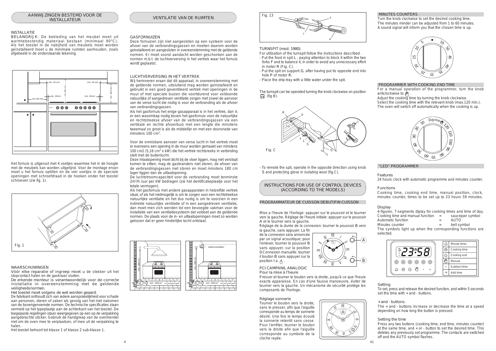





# WAARSCHUWINGEN

Vóór elke reparatie of ingreep moet u *de stekker uit het stopcontact halen en de gaskraan sluiten.*

De erkende monteur is verantwoordelijk voor de correcte installatie in overeenstemming met de geldende veiligheidsnormen.

Het toestel moet volgens de wet worden geaard.

De fabrikant onthoudt zich van iedere aansprakelijkheid voor schade aan personen, dieren of zaken als gevolg van het niet nakomen van de bovengenoemde normen. De technische specificaties staan vermeld op het typeplaatje aan de achterkant van het toestel. De toegepaste regelingen staan weergegeven op een op de verpakking aangebrachte sticker. Gebruik de handgreep van de ovenhendel niet om de oven mee te verplaatsen, of mee uit de verpakking te halen.

Het toestel behoort tot klasse 1 of klasse 2 sub-klasse 1.

Als het gasfornuis het enige gasapparaat is in het vertrek, dan is er een wasemkap nodig boven het gasfornuis voor de natuurlijke en rechtstreekse afvoer van de verbrandingsgassen via een vertikale en rechte afvoerbuis met een lengte die minstens tweemaal zo groot is als de middellijn en met een doorsnede van minstens 100 cm<sup>2</sup>.

Het fornuis is uitgerust met 4 voetjes waarmee het in de hoogte met de meubels kan worden uitgelijnd. Voor de montage ervan moet u het fornuis optillen en de vier voetjes in de speciale openingen met schroefdraad in de hoeken onder het toestel schroeven (zie fig. 1).

# INSTALLATIE

BELANGRIJK: De bekleding van het meubel moet uit warmtebestendig materiaal bestaan (minimaal 90°C). Als het toestel in de nabijheid van meubels moet worden geïnstalleerd moet u de minimale ruimten aanhouden, zoals afgebeeld in de onderstaande tekening.

### GASFORNUIZEN

Deze fornuizen zijn niet aangesloten op een systeem voor de afvoer van de verbrandingsgassen en moeten daarom worden geinstalleerd en aangesloten in overeenstemming met de geldende normen. Er moet vooral aandacht worden geschonken aan de normen m.b.t. de luchtverversing in het vertrek waar het fornuis wordt geplaatst.

# LUCHTVERVERSING IN HET VERTREK

de la connexion sera annoncée par un signal acoustique; pour l'enlever, tourner le poussoir B sans appuyer, sur la position 0.Connexion manuelle: tourner il bouton B sans appuyer sur la position I a  $\sqrt{n}$ .

Wij herinneren eraan dat dit apparaat, in overeenstemming met de geldende normen, uitsluitend mag worden geinstalleerd en gebruikt in een goed geventileerd vertrek met openingen in de muur of met speciale buizen die voortdurend voor voldoende natuurlijke of aangedreven ventilatie zorgen met zowel de aanvoer van de verse lucht die nodig is voor de verbranding als de afvoer van verbrandingsgassen.

The turnspit can be operated turning the knob clockwise on position  $\Box$  (fig B).

Voor de onmisbare aanvoer van verse lucht in het vertrek moet er eveneens een opening in de muur worden gemaakt van minstens 100 cm2 (5,16 cm<sup>2</sup> x kW) die het vertrek rechtsreeks in verbinding stelt met de buitenlucht.

Deze inlaatopening moet dicht bij de vloer liggen, mag niet verstopt komen te zitten, mag de gasbranders niet storen, de afvoer van de verbrandingsgassen niet storen en moet minstens 180 cm lager liggen dan de uitlaatopening.

For a manual operation of the programmer, turn the knob anticlockwise to  $\sqrt{\eta}$ 

De luchtstroomcapaciteit voor de verbranding moet tenminste 2m<sup>3</sup> /h /uur per kW bedragen (zie het dentificatieplaatje voor het totale vermogen).

Als het gasfornuis met andere gasapparaten in hetzelfde vertrek staat, of als het nietmogelijk is om te zorgen voor een rechtstreekse natuurlijke ventilatie en het dus nodig is om te voorzien in een indirekte natuurlijke ventilatie of in een aangedreven ventilatie, dan moet men zich wenden tot een bevoegde vakman voor de installatie van een ventilatiesysteem dat voldoet aan de geldende normen. De plaats voor de in- en uitlaatopeningen moet zo worden gekozen dat er geen hinderlijke tocht ontstaat.



Mise a l'heure de l'horloge: appuyer sur le poussoir et le tourner vers la gauche. Réglage de l'heure initiale: appuyer sur le poussoir A et le tourner vers la gauche.

Réglage de la durée de la connexion: tourner le poussoir B vers la gauche, sans appuyer. La fin

PCI CAMPANIL ANALOGIC Pour la mise à l'heure

Presser et tourner le bouton vers la droite, jusqu'à ce que l'heure exacte apparaisse. En cas d'une fausse manoeuvre, éviter de tourner vers la gauche. Un mécanisme de sécurité protége les composants de l'horloge.

# Réglage sonnerie

Tourner le bouton vers la droite, sans le presser, afin que l'aiguille corresponde au temps de sonnerie désiré. Une fois le temps écoulé la sonnerie retentit sans cesse. Pour l'arrêter, tourner le bouton vers la droite afin que l'aiguille corresponde au symbole de la cloche rayée.

# Setting

To set, press and release the desired function, and within 5 seconds set the time with + and - buttons.

+ and - buttons.

The + and - buttons increase or decrease the time at a speed depending on how long the button is pressed.

# Setting the time

Press any two buttons (cooking time, end time, minutes counter) at the same time, and + or - button to set the desired time. This deletes any previously set programme. The contacts are switched off and the AUTO symbol flashes.









# PROGRAMMATEUR DE CUISSON DEBUT/FIN CUISSON

### TURNSPIT (mod. 1980).

For utilization of the turnspit follow the instructions described .

- Put the food in spit L , paying attention to block it within the two forks F and to balance it, in order to avoid any unnecessary effort in motor R (Fig. C).
- Put the spit on support G, after having put its opposite end into hole P of motor R.
- Place the drip-tray with a little water under the spit.

- To remote the spit, operate in the opposite direction using knob S and protecting glove in isolating wool (fig.C).

# MINUTES COUNTERS

Turn the knob clockwise to set the desired cooking time. The minutes minder can be adjusted from 1 to 60 minutes. A sound signal will inform you that the chosen time is up.

# PROGRAMMER WITH COOKING END TIME

Adjust the cooking time by turning the knob clockwise. Select the cooking time with the relevant knob (max.120 min.). The oven will switch off automatically when the cooking is up.

# Display

| 4-figures, 7-segments diplay for cooking times and time of day. |     |                 |
|-----------------------------------------------------------------|-----|-----------------|
| Cooking time and manual function                                | $=$ | saucepan symbol |
| Automatic function                                              | $=$ | <b>AUTO</b>     |

- 
- Minutes counter  $=$  bell symbol

The symbols light up when the corresponding functions are selected.

# "LED" PROGRAMMER

# Features

24 hours clock with automatic programme and minutes counter.

# Functions

Cooking time, cooking end time, manual position, clock, minutes counter, times to be set up to 23 hours 59 minutes.





INSTRUCTIONS FOR USE OF CONTROL DEVICES (ACCORDING TO THE MODELS)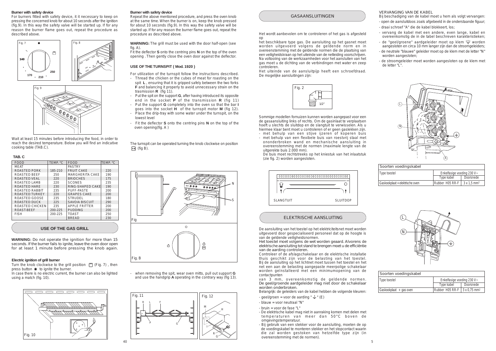# GASAANSLUITINGEN

# ELEKTRISCHE AANSLUITING

| Soorten voedingskabel           |                              |                                |
|---------------------------------|------------------------------|--------------------------------|
| Type toestel                    | Enkelfasige voeding 230 $V<$ |                                |
|                                 | Type kabel                   | Doorsnede                      |
| Gaskookplaat + elektrische oven | Rubber H05 RR-F              | $3 \times 1.5$ mm <sup>2</sup> |



| Soorten voedingskabel   |                                                  |           |
|-------------------------|--------------------------------------------------|-----------|
| Type toestel            | Enkelfasige voeding 230 $V<$                     |           |
|                         | Type kabel                                       | Doorsnede |
| Gaskookplaat + gas oven | Rubber H05 RR-F $\vert$ 3 x 0.75 mm <sup>2</sup> |           |











# **USE OF THE TURNSPIT ( Mod. 1920 )**

# **TAB. C**

WARNING: WARNING: WARNING: WARNING: WARNING: WARNING: WARNING: WARNING: WARNING: WARNING: WARNING: WARNING: WARNING: WARNING: WARNING: WARNING: WARNING: WARNING: WARNING: WARNING: WARNING: WARNING: WARNING: WARNING: WARNIN

# **Electric ignition of grill burner**

Turn the knob clockwise to the grill position  $\Box$  (Fig. 7), then press button  $*$  to ignite the burner.

In case there is no electric current, the burner can also be lighted using a match (fig. 10).

# **USE OF THE GAS GRILL**

## **Burner with safety device**

The turnspit can be operated turning the knob clockwise on position  $\Box$  (fig B).

Repeat the above mentioned procedure, and press the oven knob at the same time. When the burner is on, keep the knob pressed for about 10 seconds (fig.9). In this way the safety valve will be started up. If for any reason the burner flame goes out, repeat the procedure as described above.

- Thread the chicken or the cubes of meat for roasting on the spit **L** , ensuring that it is gripped safely between the two forks **F** and balancing it properly to avoid unnecessary strain on the trasmission **R** (fig 11).
- Put the spit on the support **G**, after having introduced its opposite end in the socket **P** of the transmission **R** (fig 11)
- Put the support **G** completely into the oven so that the bar **I** goes into the socket **H** of the turnspit motor **M** (fig 12).
- Place the drip-tray with some water under the turnspit, on the lowest level
- Fit the deflector **S** onto the centring pins **N** on the top of the oven opening(fig. A )

For utilization of the turnspit follow the instructions described.





- when removing the spit, wear oven mitts, pull out support **G** and use the handgrip **A** operating in the contrary way (fig 13).

# **Burner with safety device**

For burners fitted with safety device, it it necessary to keep on pressing the concerned knob for about 10 seconds after the ignition (fig.9). In this way the safety valve will be started up. If for any reason the burner flame goes out, repeat the procedure as described above.

WARNING: **WARNING:** *Do not operate the ignition for more than 15 seconds. If the burner fails to ignite, leave the oven door open for at least 1 minute before pressing the knob again.*

Wait at least 15 minutes before introducing the food, in order to reach the desired temperature. Below you will find an indicative cooking table (TAB.C).

- geel/groen = voor de aarding "  $\frac{1}{2}$  " (E)
- blauw = voor neutraal "N"
- bruin = voor de fase "L"
- De elektrische kabel mag niet in aanraking komen met delen met temperaturen van meer dan 50°C boven de omgevingstemperatuur.
- Bij gebruik van een stekker voor de aansluiting, moeten de op
- de voedingskabel te monteren stekker en het stopcontact waarin die zal worden gestoken van hetzelfde type zijn (in overeenstemming met de normen).

| <b>FOOD</b>           | TEMP. °C | <b>FOOD</b>           | TEMP. °C |
|-----------------------|----------|-----------------------|----------|
| <b>MEAT</b>           |          | <b>PASTRY</b>         |          |
| <b>ROASTED PORK</b>   | 185-210  | <b>FRUIT CAKE</b>     | 220      |
| <b>ROASTED BEEF</b>   | 250      | MARGHERITA CAKE       | 190      |
| ROASTED VEAL          | 220      | <b>BRIOCHES</b>       | 175      |
| <b>ROASTED LAMB</b>   | 220      | <b>SCONES</b>         | 235      |
| <b>ROASTED HARE</b>   | 230      | RING-SHAPED CAKE      | 190      |
| ROASTED RABBIT        | 235      | PUFF-PASTE            | 200      |
| <b>ROASTED TURKEY</b> | 220      | <b>GRAPES CAKE</b>    | 200      |
| ROASTED GOOSE         | 235      | STRUDEL               | 180      |
| <b>ROASTED DUCK</b>   | 225      | <b>SAVOIA BISCUIT</b> | 290      |
| ROASTED CHICKEN       | 235      | <b>APPLE FRITTER</b>  | 200      |
| <b>ROAST-BEEF</b>     | 200-225  | <b>PUDDING</b>        | 200      |
| <b>FISH</b>           | 200-225  | TOAST                 | 250      |
|                       |          | <b>BREAD</b>          | 230      |

**WARNING:** The grill must be used with the door half-open (see fig.  $A$ ).

Het wordt aanbevolen om te controleren of het gas is afgesteld op

het beschikbare type gas. De aansluiting op het gasnet moet worden uitgevoerd volgens de geldende norm en in overeenstemming met de geldende normen die de plaatsing van een veiligheidskraan op het uiteinde van de netleiding voorschrijven. Na voltooiing van de werkzaamheden voor het aansluiten van het gas moet u de dichting van de verbindingen met water en zeep controleren.

Het uiteinde van de aansluitpijp heeft een schroefdraad. De mogelijke aansluitingen zijn:

Sommige modellen fornuizen kunnen worden aangepast voor een de gasaansluiting links of rechts. Om de gasinlaat te verplaatsen hoeft u slechts de sluitdop en de slangtuit te verwisselen. Als u hiermee klaar bent moet u controleren of er geen gaslekken zijn.

- met behulp van een stijve ijzeren of koperen buis
- met behulp van een flexibele buis van roestvrij staal met ononderbroken wand en mechanische aansluiting in overeenstemming met de normen (maximale lengte van de uitgerekte buis 2.000 mm).

De buis moet rechtstreeks op het kniestuk van het inlaatstuk (zie fig. 2) worden aangesloten.

De aansluiting van het toestel op het elektriciteitsnet moet worden uitgevoerd door gespecialiseerd personeel dat op de hoogte is van de geldende veiligheidsnormen.

Het toestel moet volgens de wet worden geaard. Alvorens de elektrische aansluiting tot stand te brengen moet u de efficiëntie van de aarding controleren.

Controleer of de afslagschakelaar en de elektrische installatie thuis geschikt zijn voor de belasting van het toestel. Bij de aansluiting op het lichtnet moet tussen het toestel en het net een aan de belasting aangepaste meerpolige schakelaar worden geïnstalleerd met een minimumopening van de contactpunten

van 3 mm, overeenkomstig de geldende normen. De geel/groende aardgeleider mag niet door de schakelaar worden onderbroken.

Belangrijk: de geleiders van de kabel hebben de volgende kleuren:

# VERVANGING VAN DE KABEL

Bij beschadiging van de kabel moet u hem als volgt vervangen: - open de aansluitdoos zoals afgebeeld in de onderstaande figuur;

- draai schroef "A" die de kabel blokkeert, los;
- vervang de kabel met een andere, even lange, kabel en overeenkomstig de in de tabel beschreven karakteristieken;
- de "geel/groene" aardgeleider moet op klem  $\frac{n+n}{n}$  worden aangesloten en circa 10 mm langer zijn dan de stroomgeleiders;
- de neutrale "blauwe" geleider moet op de klem met de letter "N" worden aangesloten;
- de stroomgeleider moet worden aangesloten op de klem met de letter "L".



Fit the deflector **S** onto the centring pins **N** on the top of the oven opening . Then gently close the oven door against the deflector.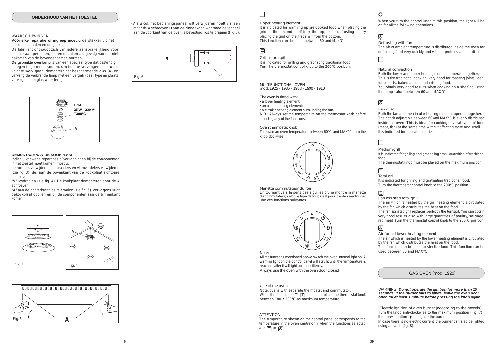

# $\Box$







# GAS OVEN (mod. 1920).

MULTIFUNCTIONAL OVEN mod. 1925 - 1985 - 1988 - 1990 - 1910

The oven is fitted with:

• a lower heating element;

• an upper heating element;

• a circular heating element surrounding the fan. N.B.: Always set the temperature on the thermostat knob before selecting any of the functions.

#### Oven thermostat knob

To obtain an oven temperature between 60°C and MAX°C, turn the knob clockwise.

Manette commutateur du fou

En tournant vers le sens des aiguilles d'une montre la manette du commutateur, selon le type de four, il est possible de sélectionner une des fonctions suivantes.



#### Note:

All the functions mentioned above switch the oven internal light on. A warning light on the control panel will stay lit until the temperature is reached; after it will light up intermittently. Always use the oven with the oven door closed

When you turn the control knob to this position, the light will be on for all the following operations.

# 圆

Defrosting with fan

The air at ambient temperature is distributed inside the oven for defrosting food very quickly and without proteins adulterations.

# Natural convection

Both the lower and upper heating elements operate together. This is the traditional cooking, very good for roasting joints, ideal for biscuits, baked apples and crisping food.

You obtain very good results when cooking on a shelf adjusting the temperature between 60 and MAX°C.

# 网

Fan oven

Note: ovens with separate thermostat and commutator. When the functions  $\boxed{\Box}$  are used, place the thermostat knob between  $180 \div 200^{\circ} \overline{C}$  as maximum temperature.

The temperature shown on the control panel corresponds to the temperature in the oven centre only when the functions selected are  $\Box$  or  $\circledR$ 

# Ō.

Both the fan and the circular heating element operate together. The hot air adjustable between 60 and MAX°C is evenly distributed inside the oven. This is ideal for cooking several types of food (meat, fish) at the same time without affecting taste and smell. It is indicated for delicate pastries.

# $\Box$

Medium grill



It is indicated for grilling and gratinating small quantities of traditional food.

The thermostat knob must be placed on the maximum position.

# $\Box$

Total grill

It is indicated for grilling and gratinating traditional food. Turn the thermostat control knob to the 200°C position.

# 圆

Fan assisted total grill

The air which is heated by the grill heating element is circulated by the fan which distributes the heat on the food.

The fan assisted grill replaces perfectly the turnspit. You can obtain very good results also with large quantities of poultry, sausage, red meat. Turn the thermostat control knob to the 200°C position.

# $\mathbb{E}$

Air forced lower heating element

The air which is heated by the lower heating element is circulated by the fan which distributes the heat on the food.

This function can be used to sterilize food. This function can be used between 60 and MAX°C.

# Grill + turnspit

It is indicated for grilling and gratinating traditional food. Turn the thermostat control knob to the 200°C position.

# Upper heating element

It is indicated for warming up pre-cooked food when placing the grid on the second shelf from the top, or for defrosting pastry placing the grid on the first shelf from the bottom. This function can be used between 60 and Max°C.

# $\Xi$

#### Use of the oven

#### ATTENTION:

)Electric ignition of oven burner (according to the medels) Turn the knob anti-clockwise to the maximum position (Fig. 7) , then press button  $\ast$  to ignite the burner. In case there is no electric current, the burner can also be lighted using a match (fig. 8).

WARNING: *Do not operate the ignition for more than 15 seconds. If the burner fails to ignite, leave the oven door open for at least 1 minute before pressing the knob again.*

# WAARSCHUWINGEN

**Vóór elke reparatie of ingreep moet u** *de stekker uit het stopcontact halen en de gaskraan sluiten.*

De fabrikant onthoudt zich van iedere aansprakelijkheid voor schade aan personen, dieren of zaken als gevolg van het niet nakomen van de bovengenoemde normen.

**De gebruikte ovenlamp** is van een speciaal type dat bestendig is tegen hoge temperaturen. Om hem te vervangen moet u als volgt te werk gaan: demonteer het beschermende glas (A) en vervang de verbrande lamp met een vergelijkbaar type en plaats vervolgens het glas weer terug.

# **DEMONTAGE VAN DE KOOKPLAAT**

Indien u vanwege reparaties of vervangingen bij de componenten in het toestel moet komen, moet u:

de roosters verwijderen, de branders en vlamverdelers verwijderen (zie fig. 3), de, aan de bovenkant van de kookplaat zichtbare schroeven

"V" losdraaien (zie fig. 4). De kookplaat demonteren door de 4 schroeven

"A" aan de achterkrant los te draaien (zie fig. 5). Vervolgens kunt dekookplaat optillen en bij de componenten aan de binnenkant komen.

- Als u ook het bedieningspaneel wilt verwijderen hoeft u alleen maar de 4 schroeven **B** aan de binnenkant, waarmee het paneel aan de voorkant van de oven is bevestigd, los te draaien (Fig.6).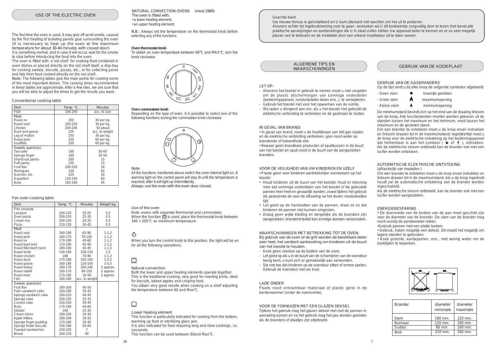# WAARSCHUWINGEN

| <b>Brander</b> | diameter<br>minimale | diameter<br>maximale |
|----------------|----------------------|----------------------|
| Sterk          | 180 mm.              | 220 mm.              |
| Normaal        | $120$ mm.            | $200$ mm.            |
| Suddor         | 80 mm.               | $160$ mm.            |
| Wok            | $220$ mm.            | 260 mm.              |

NATURAL CONVECTION OVENS (mod.1980) The oven is fitted with: • a lower heating element; • an upper heating element;



N.B.: Always set the temperature on the thermostat knob before selecting any of the functions.

When you turn the control knob to this position, the light will be on for all the following operations.

# □

Both the lower and upper heating elements operate together. This is the traditional cooking, very good for roasting joints, ideal for biscuits, baked apples and crisping food. You obtain very good results when cooking on a shelf adjusting

# **Oven thermostat knob**

To obtain an oven temperature between 60°C and MAX°C, turn the knob clockwise.

#### **Oven commutator knob**

Depending on the type of oven, it is possible to select one of the following functions turning the commutator knob clockwise.



# Lower heating element

This function is particularly indicated for cooking from the bottom, warming up food or sterilizing glass jars.

It is also indicated for food requiring long and slow cookings, i.e. casserole.

This function can be used between 60and Max°C.

# Natural convection

Note: ovens with separate thermostat and commutator. When the function  $\mathbb{\bar{F}}$  is used, place the thermostat knob between  $180 \div 200^{\circ}$ C as maximum temperature.

# ۰Õ.

the temperature between 60 and Max°C.

# $\Box$

# USE OF THE ELECTRIC OVEN

The first time the oven is used, it may give off acrid smells, caused by the first heating of isolating panels glue surrounding the oven (it is necessary to heat up the oven at the maximum temperature for about 30-40 minutes with closed door). It is something normal, and in case it will occur, wait for the smoke to stop before introducing the food into the oven.

The oven is fitted with: a rod shelf for cooking food contained in oven dishes or placed directly on the rod shelf itself, a drip-tray for cooking sweets, biscuits, pizzas, etc., or for collecting juices and fats from food cooked directly on the rod shelf.

Note: The following tables give the main points for cooking some of the most important dishes. The cooking times recommended in these tables are approximate. After a few tries, we are sure that you will be able to adjust the times to get the results you want.

#### Conventional cooking table

# Fan oven cooking table

# Use of the oven

| Dish                      | Temp. °C. | <b>Minutes</b> | Weight kg. |
|---------------------------|-----------|----------------|------------|
| Firs courses              |           |                |            |
| Lasagne                   | 200-220   | 20-25          | 0,5        |
| Oven pasta                | 200-220   | 25-30          | 0,5        |
| Creole rice               | 200-230   | 20-25          | 0,5        |
| Pizza                     | 210-230   | 30-45          | 0,5        |
| Meat                      |           |                |            |
| Roast veal                | 160-180   | 65-90          | $1 - 1, 2$ |
| Roast pork                | 160-170   | 70-100         | $1 - 1, 2$ |
| Roast ox                  | 170-190   | 40-60          | $1 - 1, 2$ |
| Roast beef joint          | 170-180   | 65-90          | $1 - 1, 2$ |
| Roast fillet beef (rare)  | 180-190   | 40-45          | $1 - 1, 5$ |
| Roast lamb                | 140-160   | 100-130        | 1,5        |
| Roast chicken             | 180       | 70-90          | $1 - 1, 2$ |
| Roast duck                | 170-180   | 100-160        | $1, 5 - 2$ |
| Roast goose               | 160-180   | 120-160        | $3 - 3.5$  |
| Roast turkey              | 160-170   | 160-240        | 5 approx.  |
| Roast rabbit              | 160-170   | 80-100         | 2 approx.  |
| Roast hare                | 170-180   | $30 - 50$      | 2 approx.  |
| Fish                      | 160-180   | acc. to weight |            |
| Sweets (pastries)         |           |                |            |
| Fruit flan                | 180-200   | $40 - 50$      |            |
| Plain sandwich cake       | 160-180   | 35-45          |            |
| Sponge sandwich cake      | 200-220   | $40 - 45$      |            |
| Sponge cake               | 200-230   | 25-35          |            |
| Currant cake              | 230-250   | 30-40          |            |
| <b>Buns</b>               | 170-180   | 40-60          |            |
| Strûdel                   | 160       | 25-35          |            |
| Cream slices              | 180-200   | 20-30          |            |
| Apple fritters            | 180-200   | 18-25          |            |
| Sponge finger pudding     | 170-180   | 30-40          |            |
| Sponge finder biscuits    | 150-180   | 50-60          |            |
| <b>Toasted sandwiches</b> | 230-250   | 7              |            |
| Bread                     | 200-220   | 40             |            |

- Op de lijst vindt u bij elke knop de volgende symbolen afgebeeld:
- Geen vlam  $\bullet$  kraantje gesloten
- -
- Grote vlam maximumopening
- $-$  Kleine vlam  $\bullet$  minimumopening

| Dish              | Temp. °C. | <b>Minutes</b> |
|-------------------|-----------|----------------|
| Fish              | 180-240   | acc. to size   |
| Meat              |           |                |
| Roast ox          | 250       | 30 per kg.     |
| Roast veal        | 200-220   | 30 per kg.     |
| Chicken           | 200-240   | 50 about       |
| Duck and goose    | 220       | acc. to weight |
| Leg of mutton     | 250       | 30 per kg.     |
| Roast pork        | 250       | $60$ per kg.   |
| Soufflets         | 200       | $60$ per kg.   |
| Sweets (pastries) |           |                |
| Tea-cake          | 160       | 50-60          |
| Sponge finger     | 160       | $30 - 50$      |
| Shortcrust pastry | 200       | 15             |
| Puff pastry       | 250       | 15             |
| Fruit flan        | 200-220   | 30             |
| Meringues         | 100       | 60             |
| Quiches, etc.     | 220       | 30             |
| 4 quarters        | 120-140   | 60             |
| <b>Buns</b>       | 160-180   | 45             |



All the functions mentioned above switch the oven internal light on. A warning light on the control panel will stay lit until the temperature is reached; after it will light up intermittently. Always use the oven with the oven door closed.

# *Geachte klant*

*Uw nieuwe fornuis is geïnstalleerd en U kunt uiteraard niet wachten om het uit te proberen. Alvorens echter tot ingebruikneming over te gaan, verzoeken wij U dit boekwerkje zorgvuldig door te lezen (het bevat alle praktische aanwijzingen en aanbevelingen die U in staat zullen stellen Uw apparaat beter te kennen en er zo veel mogelijk plezier van te beleven) en de installatie door een erkend installateur uit te laten voeren.*

# LET OP:

- Alvorens het toestel in gebruik te nemen moet u niet vergeten om de plastic afschermingen van sommige onderdelen (bedieningspaneel, roestvrijstalen delen enz..), te verwijderen.
- Gebruik het toestel niet voor het opwarmen van de ruimte.
- Wij raden u dringend aan om, als u het toestel niet gebruikt *de elektrische verbinding te verbreken en de gaskraan te sluiten.*

#### IN GEVAL VAN BRAND:

• In geval van brand, moet *u de hoofdkraan van het gas sluiten en de elektrische verbinding verbreken*; gooi nooit water op brandende of kokendhete olie.

• Bewaar geen brandbare producten of spuitbussen in de buurt van het toestel en spuit nooit in de buurt van de aangestoken branders.

# VOOR DE VEILIGHEID VAN UW KINDEREN EN UZELF

• Plaats geen voor kinderen aantrekkelijke voorwerpen op het toestel.

- Houd kinderen uit de buurt van het toestel; houd er rekening mee dat sommige onderdelen van het toestel of de gebruikte pannen heel heet en gevaarlijk worden, zowel tijdens het gebruik als gedurende de voor de afkoeling na het doven noodzakelijke tijd.
- Let goed op de handvatten van de pannen, draai ze zo dat kinderen de pannen niet kunnen omgooien.
- Draag geen wijde kleding en dergelijke als de branders zijn aangestoken; brandend textiel kan ernstige wonden veroorzaken.

## WAARSCHUWINGEN MET BETREKKING TOT DE OVEN:

Bij gebruik van de oven of de grill worden de bereikbare delen zeer heet, het verdient aanbeveling om kinderen uit de buurt van het toestel te houden.

- Kook geen voedsel op de bodem van de oven.
- Let goed op als u in de buurt van de scharnieren van de ovendeur bezig bent, u kunt zich er gemakkelijk aan verwonden.
- Sta niet toe dat kinderen op de ovendeur zitten of ermee spelen. Gebruik de ovendeur niet als kruk.

# LADE ONDER

Plaats nooit ontvlambaar materiaal of plastic gerei in de bordenwarmer (onder de ovenruimte).

## VOOR DE FORNUIZEN MET EEN GLAZEN DEKSEL

Tijdens het gebruik mag het glazen deksel niet met de pannen in aanraking komen en na het gebruik mag het pas worden gesloten als de branders of plaatjes zijn afgekoeld.

# ALGEMENE TIPS EN<br>
WALGEMENE TIPS EN GEBRUIK VAN DE KOOKPLAAT

# GEBRUIK VAN DE GASBRANDERS

De minimumstand bevindt zich op het eind van de draaiing linksom van de knop. Alle functiestanden moeten worden gekozen uit de standen tussen het maximum en het minimum, nooit tussen het maximum en de gesloten stand.

Om een brander te ontsteken moet u de knop ervan indrukken en linksom draaien tot in de maximumstand; tegelijkertijd moet u de knop voor de elektrische ontsteking op het bedieningspaneel dat herkenbaar is aan het symbool  $\ast$  of  $\ast$ ), indrukken. Als de elektrische stroom ontbreekt kan de brander ook met een lucifer worden ontstoken.

# AUTOMATISCHE ELEKTRISCHE ONTSTEKING (afhankelijk van modellen )

Om een brander te ontsteken moet u de knop ervan indrukken en linksom draaien tot in de maximumstand. Als u de knop ingedrukt

houdt zal de automatische ontsteking van de brander worden ingeschakeld.

Als de elektrische stroom ontbreekt, kan de brander ook met een lucifer worden aangestoken.

# ENERGIEBESPARING

• De doorsnede van de bodem van de pan moet geschikt zijn voor de diameter van de brander. De vlam van de brander mag nooit voorbij de pandiameter reiken.

•Gebruik pannen met een platte bodem.

• Gebruik, indien mogelijk een deksel. Dit maakt het mogelijk om lagere standen te gebruiken.

• Kook groente, aardappelen, enz., met weinig water om de kooktijden te beperken.

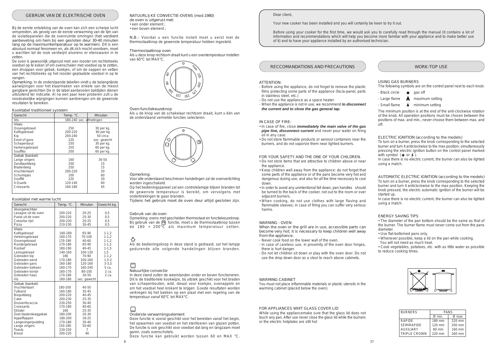# GEBRUIK VAN DE ELEKTRISCHE OVEN

### Kooktabel traditioneel systeem

# Kooktabel met warme lucht

| Gerecht        | Temp. °C.               | Minuten      |  |
|----------------|-------------------------|--------------|--|
| Vis            | 180-240 sec. afmetingen |              |  |
| Vlees          |                         |              |  |
| Ossengebraad   | 250                     | 30 per kg.   |  |
| Kalfsgebraad   | 200-220                 | $60$ per kg. |  |
| Kip            | 200-240                 | 50 circa     |  |
| Eend of gans   | 220                     | sec. gewicht |  |
| Schapenbout    | 250                     | 30 per kg.   |  |
| Varkensgebraad | 250                     | $60$ per kg. |  |
| Soufflés       | 200                     | $60$ per kg. |  |
| Gebak (banket) |                         |              |  |
| Lange vingers  | 160                     | $30 - 50$    |  |
| Zandtaartdeeg  | 200                     | 15           |  |
| Bladerdeeg     | 250                     | 15           |  |
| Vruchtentaart  | 200-220                 | 30           |  |
| Schuimpjes     | 100                     | 60           |  |
| Soufflé        | 220                     | 30           |  |
| 4 Quarts       | 120-140                 | 60           |  |
| Croissants     | 160-180                 | 45           |  |
|                |                         |              |  |

| Gerecht              | Temp. °C. | Minuten      | Gewicht kg. |
|----------------------|-----------|--------------|-------------|
| Voorgerechten        |           |              |             |
| Lasagne uit de oven  | 200-220   | 20-25        | 0,5         |
| Pasta uit de oven    | 200-220   | 25-30        | 0,5         |
| Creoolse rijst       | 200-230   | 20-25        | 0,5         |
| Pizza                | 210-230   | 30-45        | 0,5         |
| <b>Vlees</b>         |           |              |             |
| Kalfsgebraad         | 160-180   | 65-90        | $1 - 1, 2$  |
| Varkensgebraad       | 160-170   | 70-100       | $1 - 1, 2$  |
| Ossengebraad         | 170-190   | 40-60        | $1 - 1, 2$  |
| Rundergebraad        | 170-180   | 65-90        | $1 - 1, 2$  |
| Rosbief              | 180-190   | 40-45        | $1 - 1, 5$  |
| Lamsgebraad          | 140-160   | 100-130      | 1,5         |
| Gebraden kip         | 180       | 70-90        | $1 - 1, 2$  |
| Gebraden eend        | 170-180   | 100-160      | $1,5-2$     |
| Gebraden gans        | 160-180   | 120-160      | $3 - 3.5$   |
| Gebraden kalkoen     | 160-170   | 160-240      | 5 ca.       |
| Gebraden konijn      | 160-170   | 80-100       | 2 ca.       |
| Gebraden haas        | 170-180   | $30 - 50$    | 2 ca.       |
| <b>Vis</b>           | 160-180   | sec. gewicht |             |
| Gebak (banket)       |           |              |             |
| Vruchtentaart        | 180-200   | $40 - 50$    |             |
| Tulband              | 160-180   | $35 - 45$    |             |
| Bisquitdeeg          | 200-220   | $40 - 45$    |             |
| Cake                 | 200-230   | 25-35        |             |
| Druivenfocaccia      | 230-250   | $30-40$      |             |
| Croissants           | 170-180   | 40-60        |             |
| Strüdel              | 160       | 25-35        |             |
| Zoet bladerdeeggebak | 180-200   | 20-30        |             |
| Appelflappen         | 180-200   | 18-25        |             |
| Langevingerpudding   | 170-180   | 30-40        |             |
| Lange vingers        | 150-180   | 50-60        |             |
| <b>Toasts</b>        | 230-250   | 7            |             |
| <b>Brood</b>         | 200-220   | 40           |             |



# RECCOMANDATIONS AND PRECAUTIONS

# ATTENTION:

- Before using the appliance, do not forget to remove the plastic films protecting some parts of the appliance (facia-panel, parts in stainless steel, etc.)
- Do not use the appliance as a space heater.
- When the appliance is not in use, we recommend *to disconnect the current and to close the gas general tap.*

The following symbols are on the control panel next to each knob: - Black circle  $\bullet$  gas off

- 
- $-Large$  flame  $\qquad \qquad \bigwedge$  maximum setting
- 
- $-$  Small flame  $\qquad \qquad \bullet$  minimum setting

#### IN CASE OF FIRE:

To turn on a burner, press the knob corresponding to the selected burner and turn it anticlockwise to the max position; simultaneously pressing the electric ignition button on the control panel marked with symbol  $(* or 5)$ .

- In case of fire, close *immediately the main valve of the gas pipe line, disconnect current* and never pour water on firing oil in any case.
- Do not store flammable products or aerosol containers near the burners, and do not vaporize them near lighted burners.

# FOR YOUR SAFETY AND THE ONE OF YOUR CHILDREN.

- Do not store items that are attractive to children above or near the appliance.
- Keep children well away from the appliance: do not forget that some parts of the appliance or of the pans become very hot and dangerous during use, and also for all the time necessary to cool down.
- In order to avoid any unintentional fall down, pan handles should be turned to the back of the cooker, not out to the room or over adjacent burners.
- When cooking, do not use clothes with large flaving and flammable sleeves; in case of firing you can suffer very serious harms.

# WARNING - OVEN:

When the oven or the grill are in use, accessible parts can become very hot; it is necessary to keep children well away from the appliance.

- Never cook food on the lower wall of the oven.
- In case of careless use, in proximity of the oven door hinges, there is hurt danger.
- Do not let children sit down or play with the oven door. Do not use the drop down door as a stool to reach above cabinets.

#### WARMING CABINET

You must not place inflammable materials or plastic utensils in the warming cabinet (placed below the oven).

# FOR APPLIANCES WHIT GLASS COVER LID

Opmerking: ovens met gescheiden thermostaat en functiekeuzeknop. Bij gebruik van de  $\overline{F}$  functie, moet u de thermostaatknop tussen de 180 ÷ 200 $\overline{C}$  als maximum temperatuur zetten.

While using the appliancemake sure that the glass lid does not touch any pan. After use never close the glass lid while the burners or the electric hotplates are still hot

# WORK-TOP USE

# USING GAS BURNERS

# 口 Natuurlijke convectie

The minimum position is at the end of the anti-clockwise rotation of the knob. All operation positions must be chosen between the positions of max. and min., never choose them between max. and off.

# ELECTRIC IGNITION (according to the models)

In case there is no electric current, the burner can also be lighted using a match.

AUTOMATIC ELECTRIC IGNITION (according to the models) To turn on a burner, press the knob corresponding to the selected burner and turn it anticlockwise to the max position. Keeping the knob pressed, the electric automatic ignition of the burner will be started up.

In case there is no electric current, the burner can also be lighted using a match.

# ENERGY SAVING TIPS

• The diameter of the pan bottom should be the same as that of the burner. The burner flame must never come out from the pans diameter.

• Use flat-bottomed pans only.

- Whenever possible, keep a lid on the pan while cooking.
- You will not need as much heat.

• Cook vegetables, potatoes, etc. with as little water as possible to reduce cooking times.



# *Dear client,*

*Your new cooker has been installed and you will certainly be keen to try it out.*

*Before using your cooker for the first time, we would ask you to carefully read through the manual (it contains a lot of information and recommendations which will help you become more familiar with your appliance and to make better use of it) and to have your appliance installed by an authorised technician.*

| <b>BURNERS</b>      | <b>PANS</b>        |                   |  |
|---------------------|--------------------|-------------------|--|
|                     | $\varnothing$ min. | $\varnothing$ max |  |
| <b>RAPIDE</b>       | 180 mm             | $220$ mm          |  |
| <b>SEMIRAPIDE</b>   | $120 \text{ mm}$   | $200$ mm          |  |
| <b>AUXILIARY</b>    | $80 \text{ mm}$    | $160$ mm          |  |
| <b>TRIPLE CROWN</b> | $220$ mm           | 260 mm            |  |

Bij de eerste ontsteking van de oven kan zich een scherpe lucht verspreiden, als gevolg van de eerste verwarming van de lijm van de isolatiepanelen die de ovenruimte omringen (het verdient aanbeveling om hem bij een gesloten deur 30-40 minuten lang op de maximumtemperatuur op te warmen). Dit is een absoluut normaal fenomeen en, als dit zich mocht voordoen, moet u wachten tot de rook verdwijnt alvorens er etenswaren in te zetten.

De oven is gewoonlijk uitgerust met: een rooster om rechtstreeks voedsel op te koken of om ovenschalen met voedsel op te zetten, een druippan voor gebak, koekjes, of om de sappen en vetten van het rechtstreeks op het rooster geplaatste voedsel in op te vangen.

Opmerking: In de onderstaande tabellen vindt u de belangrijkste aanwijzingen voor het klaarmaken van enkele van de meest gangbare gerechten De in de tabel aanbevolen baktijden dienen uitsluitend ter indicatie. Al na een paar keer proberen zult u de noodzakelijke wijzigingen kunnen aanbrengen om de gewenste resultaten te bereiken.

#### Opmerking:

Voor alle onderstaand beschreven handelingen zal de ovenverlichting worden ingeschakeld.

Op het bedieningspaneel zal een controlelampje blijven branden tot de gewenste temperatuur is bereikt, om vervolgens met onderbrekingen te gaan branden.

Tijdens het gebruik moet de oven deur altijd gesloten zijn.

#### Gebruik van de oven

Als de bedieningsknop in deze stand is gedraaid, zal het lampje gedurende alle volgende handelingen blijven branden.

In deze stand zullen de weerstanden onder en boven functioneren. Dit is de traditionele kookwijze, bij uitstek geschikt voor het braden van schapenbouten, wild, ideaal voor koekjes, ovenappels en om het voedsel heel krokant te krijgen. Goede resultaten worden verkregen bij het bakken op een plaat met een regeling van de temperatuur vanaf 60°C tot MAX°C.

Onderste verwarmingselement

Deze functie is vooral geschikt voor het bereiden vanaf het begin, het opwarmen van voedsel en het steriliseren van glazen potten. De functie is ook geschikt voor voedsel dat lang en langzaam moet garen, zoals ovenschotels.

Deze functie kan gebruikt worden tussen 60 en MAX °C.

#### Oven-functiekeuzeknop

Als u de knop van de schakelaar rechtsom draait, kunt u één van de onderstaand vermelde functies selecteren.



NATUURLIJKE CONVECTIE-OVENS (mod.1980) de oven is uitgerust met: • een onder element ;

- een boven element ;
- 

N.B.: Voordat u een functie instelt moet u eerst met de thermostaatknop de gewenste temperatuur hebben ingesteld.

# Thermostaatknop oven

Als u deze knop rechtsom draait kunt u een oventemperatuur instellen van 60°C tot MAX°C.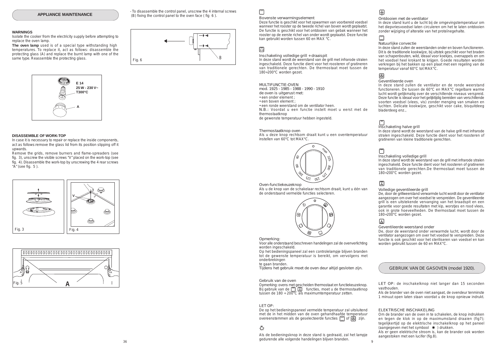GEBRUIK VAN DE GASOVEN (model 1920).





# $\Box$

**E 14 25 W - 230 V~ T300°C A**



# 圆



Remove the grids, remove burners and flame-spreaders (see fig. 3), unscrew the visible screws "V" placed on the work-top (see fig. 4). Disassemble the work-top by unscrewing the 4 rear screws " $\overline{A}$ " (see fig. 5).

### **DISASSEMBLE OF WORK-TOP**

In case it is necessary to repair or replace the inside components, act as follows:remove the glass lid from its position slipping off it upwards.

- To disassemble the control panel, unscrew the 4 internal screws (B) fixing the control panel to the oven face ( fig 6 ).

# **WARNINGS**

Isolate the cooker from the electricity supply before attempting to replace the oven lamp.

**The oven lamp** used is of a special type withstanding high temperatures. To replace it, act as follows: disassemble the protecting glass (A) and replace the burnt lamp with one of the same type. Reassemble the protecting glass.

# Bovenste verwarmingselement

Deze functie is geschikt voor het opwarmen van voorbereid voedsel wanneer het rooster op de tweede richel van boven wordt geplaatst. De functie is geschikt voor het ontdooien van gebak wanneer het rooster op de eerste richel van onder wordt geplaatst. Deze functie kan gebruikt worden tussen 60 en MAX °C.

# $\boxed{\Box}$

Opmerking: ovens met gescheiden thermostaat en functiekeuzeknop. Bij gebruik van de  $\Box$  $\Box$  functies, moet u de thermostaatknop tussen de 180 ÷  $200^{\circ}$ C als maximumtemperatuur zetten.

De op het bedieningspaneel vermelde temperatuur zal uitsluitend met de in het midden van de oven gehandhaafde temperatuur overeenstemmen als de geselecteerde functies  $\Box$  of  $\circledR$  zijn.

۰Õ.

Inschakeling volledige grill + draaispit

 $36$   $36$ Als de bedieningsknop in deze stand is gedraaid, zal het lampje gedurende alle volgende handelingen blijven branden.

In deze stand wordt de weerstand van de grill met infrarode stralen ingeschakeld. Deze functie dient voor het roosteren of gratineren van traditionele gerechten. De thermostaat moet tussen de 180÷200°C worden gezet.

#### MULTIFUNCTIE-OVEN

mod. 1925 - 1985 - 1988 - 1990 - 1910

de oven is uitgerust met:

• een onder element ;

- een boven element ;
- een ronde weerstand om de ventilator heen.

N.B.: Voordat u een functie instelt moet u eerst met de thermostaatknop

de gewenste temperatuur hebben ingesteld.

#### Thermostaatknop oven

Als u deze knop rechtsom draait kunt u een oventemperatuur instellen van 60°C tot MAX°C.

Oven-functiekeuzeknop Als u de knop van de schakelaar rechtsom draait, kunt u één van de onderstaand vermelde functies selecteren.



Opmerking:

Voor alle onderstaand beschreven handelingen zal de ovenverlichting worden ingeschakeld.

Op het bedieningspaneel zal een controlelampje blijven branden tot de gewenste temperatuur is bereikt, om vervolgens met onderbrekingen

te gaan branden.

Tijdens het gebruik moet de oven deur altijd gesloten zijn.

## Gebruik van de oven

Om de brander van de oven in te schakelen, de knop indrukken en tegen de klok in op de maximumstand draaien (fig7); tegelijkertijd op de elektrische inschakelknop op het paneel (aangegeven met het symbool  $*$ ) drukken.

#### LET OP:

#### Ontdooien met de ventilator

In deze stand kunt u de lucht bij de omgevingstemperatuur om het diepvriesvoedsel laten circuleren om het te laten ontdooien zonder wijziging of alteratie van het proteïnegehalte.

# Natuurlijke convectie

In deze stand zullen de weerstanden onder en boven functioneren. Dit is de traditionele kookwijze, bij uitstek geschikt voor het braden van schapenbouten, wild, ideaal voor koekjes, ovenappels en om het voedsel heel krokant te krijgen. Goede resultaten worden verkregen bij het bakken op een plaat met een regeling van de temperatuur vanaf 60°C tot MAX°C.

# 图

#### Geventileerde oven

In deze stand zullen de ventilator en de ronde weerstand functioneren. De tussen de 60°C en MAX°C regelbare warme lucht wordt gelijkmatig over de verschillende niveaus verspreid. Deze functie is ideaal voor het gelijktijdig bereiden van verschillende soorten voedsel (vlees, vis) zonder menging van smaken en luchten. Delicate kookwijze, geschikt voor cake, bisquitdeeg bladerdeeg enz.,

### Inschakeling halve grill

In deze stand wordt de weerstand van de halve grill met infrarode stralen ingeschakeld. Deze functie dient voor het roosteren of gratineren van kleine traditionele gerechten.

#### Inschakeling volledige grill

In deze stand wordt de weerstand van de grill met infrarode stralen ingeschakeld. Deze functie dient voor het roosteren of gratineren van traditionele gerechten.De thermostaat moet tussen de 180÷200°C worden gezet.

# $\sqrt{2}$

# Volledige geventileerde grill

De, door de grillweerstand verwarmde lucht wordt door de ventilator aangezogen om over het voedsel te verspreiden. De geventileerde grill is een uitstekende vervanging van het braadspit en een garantie voor goede resultaten met kip, worstjes en rood vlees, ook in grote hoeveelheden. De thermostaat moet tussen de 180÷200°C worden gezet.

# $\mathbb{Z}$

### Geventileerde weerstand onder

De, door de weerstand onder verwarmde lucht, wordt door de ventilator aangezogen om over het voedsel te verspreiden. Deze functie is ook geschikt voor het steriliseren van voedsel en kan worden gebruikt tussen de 60 en MAX°C.

# LET OP: de inschakelknop niet langer dan 15 seconden vasthouden.

Als de brander van de oven niet aangaat, de ovendeur tenminste 1 minuut open laten staan voordat u de knop opnieuw indrukt.

# ELEKTRISCHE INSCHAKELING

Als er geen elektrische stroom is, kan de brander ook worden aangestoken met een lucifer (fig.8).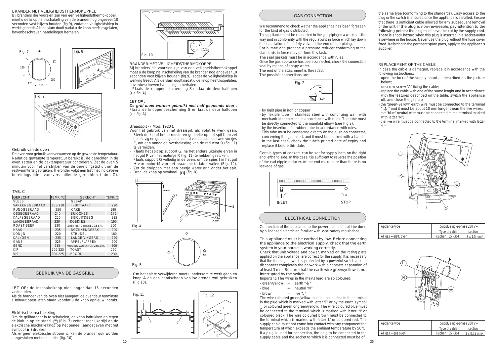# GEBRUIK VAN DE GASGRILL









| TAB. C                |          |                           |          |
|-----------------------|----------|---------------------------|----------|
| <b>GERECHT</b>        | TEMP. °C | <b>GERECHT</b>            | TEMP. °C |
| <b>VLEES</b>          |          | <b>GEBAK</b>              |          |
| <b>VARKENSGEBRAAD</b> | 185-210  | <b>FRUITTAART</b>         | 220      |
| <b>RUNDGEBRAAD</b>    | 250      | CAKE.                     | 190      |
| <b>OSSEGEBRAAD</b>    | 240      | <b>BRIOCHES</b>           | 175      |
| <b>KALFSGEBRAAD</b>   | 220      | <b>BISCUITDEEG</b>        | 235      |
| <b>LAMSGEBRAAD</b>    | 220      | <b>KOEKJES</b>            | 190      |
| <b>ROAST-BEEF</b>     | 230      | ZOET BLADERDEEGGEBAK      | 200      |
| <b>HAAS</b>           | 235      | <b>ROZLINENGEBAK</b>      | 200      |
| <b>KONLIN</b>         | 220      | STRUDEL                   | 180      |
| <b>KALKOEN</b>        | 235      | <b>LANGE VINGERS</b>      | 290      |
| GANS                  | 225      | <b>APPELFLAPPEN</b>       | 200      |
| <b>EEND</b>           | 235      | PUDDING VAN LANGE VINGERS | 200      |
| <b>KIP</b>            | 200-225  | <b>TOAST</b>              | 250      |
| <b>VIS</b>            | 200-225  | <b>BROOD</b>              | 230      |
|                       |          |                           |          |

# BRANDER MET VEILIGHEIDSTHERMOKOPPEL

Om de grillbrander in te schakelen, de knop indrukken en tegen de klok in op de stand (Fig. 7) zetten; tegelijkertijd op de elektrische inschakelknop op het paneel (aangegeven met het symbool $\#$ ) drukken.

Bij branders die voorzien zijn van een veiligheidsthermokoppel, moet u de knop na inschakeling van de brander nog ongeveer 10 seconden vast blijven houden (fig.9), zodat de veiligheidsklep in werking treedt. Als de vlam dooft nadat u de knop heeft losgelaten, bovenbeschreven handelingen herhalen.

# Gebruik van de oven

De oven voor gebruik voorverwarmen op de gewenste temperatuur. Nadat de gewenste temperatuur bereikt is, de gerechten in de oven zetten en de baktemperatuur controleren. Zet de oven 5 minuten voor het verstrijken van de bereidingstijd uit om de restwarmte te gebruiken. Hieronder volgt een lijst met indicatieve bereidingstijden van verschillende gerechten (tabel C).

- Voor het gebruik van het draaispit, als volgt te werk gaan: - Steek de kip of het te roosteren gedeelte op het spit L en zet het stevig en goed uitgebalanceerd vast tussen de twee vorkjes F, om een onnodige overbelasting van de reductor R (fig. 11) te vermijden.
- Plaats het spit op support G, na het andere uiteinde ervan in het gat P van het motortje R (fig. 11) te hebben gestoken. Plaats support G volledig in de oven, om de spies I in het gat H van motor M van het braadspit te laten vallen (Fig. 12).
- Zet de druippan met een beetje water erin onder het spit.
- Draai de knop op symbool  $\Box$  (fig. B)

LET OP: de inschakelknop niet langer dan 15 seconden vasthouden.

Als de brander van de oven niet aangaat, de ovendeur tenminste 1 minuut open laten staan voordat u de knop opnieuw indrukt.

# Elektrische inschakeling

Als er geen elektrische stroom is, kan de brander ook worden aangestoken met een lucifer (fig. 10).

BRANDER MET VEILIGHEIDSTHERMOKOPPEL

Bij branders die voorzien zijn van een veiligheidsthermokoppel moet u de knop na inschakeling van de brander nog ongeveer 10 seconden vast blijven houden (fig.9), zodat de veiligheidsklep in werking treedt. Als de vlam dooft nadat u de knop heeft losgelaten, bovenbeschreven handelingen herhalen.

- Plaats de knoppenbescherming S en laat de deur halfopen (zie fig. A).

# *LET OP :*

*De grill moet worden gebruikt met half geopende deur* . Plaats de knoppenbescherming S en laat de deur halfopen (zie fig. A).

Braadspit - ( Mod. 1920 ).

- Om het spit te verwijderen moet u andersom te werk gaan en knop A en een handschoen van isolerende wol gebruiken (Fig 13).

# GAS CONNECTION





The appliance must be connected to the gas piping in a workmanlike way and in conformity with the regulations in force which lay down the installation of a safety valve at the end of the piping.

For butane and propane a pressure reducer conforming to the standards in force may perform this task.

The seal gaskets must be in accordance with rules.

Once the gas appliance has been connected, check the connection seal by means of soapy water.

The end of the attachment is threaded.

The possible connections are:

We recommend to check wether the appliance has been foreseen for the kind of gas distributed.

- by rigid pipe in iron or copper
- by flexible tube in stainless steel with continuing wall, with mechanical connection in accordance with rules. The tube must be directly connected to the manifold elbow (see Fig.2).
- by the insertion of a rubber tube in accordance with rules. This tube must be connected directly on the push-on connector, concerning the gas used, and it must be blocked with a band. In the last case, check the tube's printed date of expiry and replace it before this date.



Certain types of cookers can be set for sypply both on the right and lefthand side. In this case it is sufficient to reverse the position of the cad nipple reducer. At the end make sure than there is no leakage of gas.

# ELECTRICAL CONNECTION

# REPLACEMENT OF THE CABLE

In case the cable is damaged, replace it in accordance with the following instructions:

| Applance type            | Supply single-phase 230 V~ |                                |  |
|--------------------------|----------------------------|--------------------------------|--|
|                          | Type of cable              | section                        |  |
| All $gas + elett$ . oven | Rubber H05 RR-F            | $3 \times 1.5$ mm <sup>2</sup> |  |

- open the box of the supply board as described on the picture below;
- unscrew screw "A" fixing the cable;
- replace the cable with one of the same lenght and in accordance with the features described on the table; switch the appliance off, and close the gas tap
- the 'green-yellow" earth wire must be connected to the terminal "  $\pm$  " and it must be about 10 mm longer thean the live wires;
- the "blue" neutral wire must be connected to the terminal marked with letter "N";
- the live wire must be connected to the terminal marked with letter "L".

| Applance type        | Supply single-phase 230 V~ |                                 |  |
|----------------------|----------------------------|---------------------------------|--|
|                      | Type of cable              | section                         |  |
| All $gas + gas$ oven | Rubber H05 RR-F            | $3 \times 0.75$ mm <sup>2</sup> |  |

This appliance must be earthed by law. Before connecting the appliance to the electrical supply, check that the earth system in your house is working correctly.

Check that unit voltage and power, marked on the rating plate applied on the appliance, are correct for the supply. It is necessary that the feeding network is protected by a powerful switch able to disconnect completely the network with a contacts separation of at least 3 mm. Be sure that the earth wire green/yellow is not interrupted by the switch.

Important: The wires in the mains lead are so coloured:

- green/yellow = earth " $\frac{1}{2}$ "
- $-b$ lue  $=$  neutral "N"
- $-brown$  = live "L"

The wire coloured green/yellow must be connected to the terminal in the plug which is marked with letter 'E' or by the earth symbol  $\frac{1}{x}$  or coloured green or green/yellow. The wire coloured blue must be connected to the terminal which is marked with letter 'N' or coloured black. The wire coloured brown must be connected to the terminal which is marked with letter 'L' or coloured red. The supply cable must not come into contact with any component the temperature of which exceeds the ambient temperature by 50°C. If a plug is used for connection, the plug to be connected to the supply cable and the socket to which it is connected must be of

Connection of the appliance to the power mains should be done by a licensed electrician familiar with local safety regulations.

the same type (conforming to the standards). Easy access to the plug or the switch is ensured once the appliance is installed. Ensure that there is sufficient cable allowed for any subsequent removal of the unit. If the plug is non-rewireable, pay attention to the following points: the plug must never be cut by the supply cord. There is shock hazard when this plug is inserted in a socket-outlet elsewhere in the house. Never use the plug without the fuse cover fitted. Referring to the pertinent spare parts, apply to the appliance's supplier.

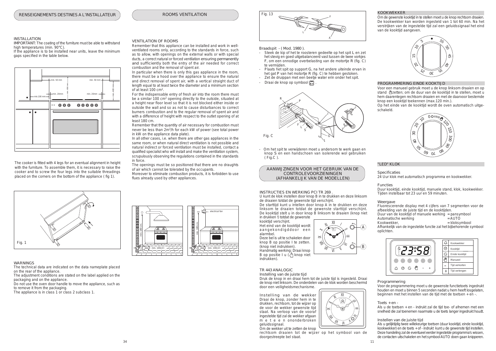AANWIJZINGEN VOOR HET GEBRUIK VAN DE CONTROLEVOORZIENINGEN (AFHANKELIJK VAN DE MODELLEN)

- Steek de kip of het te roosteren gedeelte op het spit L en zet het stevig en goed uitgebalanceerd vast tussen de twee vorkjes F, om een onnodige overbelasting van de motortje R (fig. C) te vermijden.
- Plaats het spit op support G, na het andere uiteinde ervan in het gat P van het motortje R (fig. C) te hebben gestoken.
- Zet de druippan met een beetje water erin onder het spit.
- Draai de knop op symbool  $\boxed{m}$

Braadspit - ( Mod. 1980 ).



# KOOKWEKKER

Om de gewenste kooktijd in te stellen moet u de knop rechtsom draaien. De kookwekker kan worden ingesteld van 1 tot 60 min. Na het verstrijken van de ingestelde tijd zal een geluidssignaal het eind van de kooktijd aangeven.

# PROGRAMMERING EINDE KOOKTIJD

Voor een manueel gebruik moet u de knop linksom draaien en op stand  $\frac{11}{2}$ zetten; om de duur van de kooktijd in te stellen, moet u hem daarentegen rechtsom draaien en met de daarvoor bestemde knop een kooktijd toekennen (max.120 min.).

Op het einde van de kooktijd wordt de oven automatisch uitgeschakeld.

# "LED" KLOK

Specificaties 24 Uur klok met automatisch programma en kookwekker.

# Functies

Duur kooktijd, einde kooktijd, manuele stand, klok, kookwekker. Tijden instelbaar tot 23 uur en 59 minuten.

# Weergave

Fluorescerende display met 4 cijfers van 7 segmenten voor de afbeelding van de juiste tijd en de kooktijden.

Duur van de kooktijd of manuele werking = pansymbool

Automatische werking<br>Kookwekker,

 $=$ kloksymbool

Afhankelijk van de ingestelde functie zal het bijbehorende symbool oplichten.

IMPORTANT: The coating of the furniture must be able to withstand high temperatures (min. 90°C).

#### Programmering

Voor de programmering moet u de gewenste functietoets ingedrukt houden en moet u binnen 5 seconden nadat u hem heeft losgelaten, beginnen met het instellen van de tijd met de toetsen + en -.

# Toets + en -

Als u de toetsen + en - indrukt zal de tijd toe- of afnemen met een snelheid die zal toenemen naarmate u de toets langer ingedrukt houdt.

# Instellen van de juiste tijd

Als u gelijktijdig twee willekeurige toetsen (duur kooktijd, einde kooktijd, kookwekker) en de toets + of - indrukt kunt u de gewenste tijd instellen. Deze handeling zal de eventueel eerder ingestelde programma's wissen, de contacten uitschakelen en het symbool AUTO doen gaan knipperen.

- Om het spit te verwijderen moet u andersom te werk gaan en knop S en een handschoen van isolerende wol gebruiken ( Fig.C ).











# electrical fan  $\begin{picture}(100,10) \put(0,0){\line(1,0){100}} \put(10,0){\line(1,0){100}} \put(10,0){\line(1,0){100}} \put(10,0){\line(1,0){100}} \put(10,0){\line(1,0){100}} \put(10,0){\line(1,0){100}} \put(10,0){\line(1,0){100}} \put(10,0){\line(1,0){100}} \put(10,0){\line(1,0){100}} \put(10,0){\line(1,0){100}} \put(10,0){\line(1,0){100}}$ min. 180 cm. min.  $100 \text{cm}^2$ . min. 100cm<sup>2</sup> min. 100cm<sup>2</sup>

 $\equiv$ II  $\mathbb{Z}$  $\overline{\phantom{a}}$  $\blacksquare$  $\hat{\mathscr{D}}$  $\overline{V}$  $\hat{\mathbb{Z}}$ VÌ B A



The cooker is fitted with 4 legs for an eventual alignment in height with the furniture. To assemble them, it is necessary to raise the cooker and to screw the four legs into the suitable threadings placed on the corners on the bottom of the appliance ( fig 1).

# INSTALLATION

If the appliance is to be installed near units, leave the minimum gaps specified in the table below.

WARNINGS

Handmatig werking: Draai knop B op positie I u  $\left(\sqrt{\frac{1}{n}}\right)$  knop niet

The technical data are indicated on the data nameplate placed on the rear of the appliance.

The adjustment conditions are stated on the label applied on the packaging and on the appliance.

Do not use the oven door handle to move the appliance, such as to remove it from the packaging.

The appliance is in class 1 or class 2 subclass 1.

# VENTILATION OF ROOMS

Remember that this appliance can be installed and work in wellventilated rooms only, according to the standards in force, such as to allow, with openings on the external walls or with special ducts, a correct natural or forced ventilation ensuring permanently and sufficiently both the entry of the air needed for correct combustion and the removal of spent air.

In particular when there is only this gas appliance in the room, there must be a hood over the appliance to ensure the natural and direct removal of spent air, with a vertical straight duct of length equal to at least twice the diameter and a minimum section of at least 100 cm<sup>2</sup> .

For the indispensable entry of fresh air into the room there must be a similar 100 cm<sup>2</sup> opening directly to the outside, situated at a height near floor level so that it is not blocked either inside or outside the wall and so as not to cause disturbances to correct burners combustion and to the regular removal of spent air and with a difference of height with respect to the outlet opening of at least 180 cm.

Remember that the quantity of air necessary for combustion must never be less than 2m<sup>3</sup> /h for each kW of power (see total power in kW on the appliance data plate).

In all other cases, i.e. when there are other gas appliances in the same room, or when natural direct ventilation is not possible and natural indirect or forced ventilation must be installed, contact a qualified specialist who will install and make the ventilation system, scrupulously observing the regulations contained in the standards in force.

The openings must be so positioned that there are no draughts of air which cannot be tolerated by the occupants.

Moreover to eliminate combustion products, it is forbidden to use flues already used by other appliances.

I



## TR 443 ANALOGIC

Instelling van de juiste tijd Druk de knop in en draai hem tot de juiste tijd is ingesteld. Draai de knop niet linksom. De onderdelen van de klok worden beschermd door een veiligheidsmechanisme.

Instelling van de wekker Draai de knop, zonder hem in te drukken, rechtsom, tot de wijzer op de voor de wekker gewenste tijd staat. Na verloop van de vooraf ingestelde tijd zal de wekker afgaan m e t e e n ononderbroken geluidssignaal. Om de wekker uit te zetten de knop

rechtsom draaien tot de wijzer op het symbool van de

HHHHHHHHHHHHHHHHHH

INSTRUCTIES EN WERKING PCI TR 269 .

U kunt de klok instellen door knop B in te drukken en deze linksom de draaien totdat de gewenste tijd verschijnt.

De starttijd kunt u intellen door knop A in te drukken en deze linksom te draaien totdat de gewenste starttijd verschijnt. De kooktijd stelt u in door knop B linksom te draaien (knop niet in drukken !) totdat de gewenste

kooktijd verschijnt. Het eind van de kooktijd wordt aangekondigddoor een alarmbel. Deze bel is uit te schakelen door knop B op positie I te zetten.

(knop niet indrukken).

indrukken).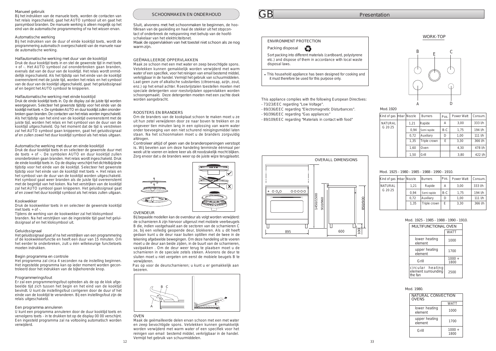# GB

# Mod. 1925 - 1980 - 1985 - 1988 - 1990 - 1910.

# Mod. 1925 - 1985 - 1988 - 1990 - 1910.



# Mod. 1980.

# Mod.1920

| Kind of gas   mbar   Nozzle |      | <b>Burners</b> | Pos.  | Power Watt | Consum.    |
|-----------------------------|------|----------------|-------|------------|------------|
| <b>NATURAL</b>              | 1,21 | Rapide         | А     | 3,00       | 333 l/h    |
| G 20 25                     | 0.94 | Semi rapide    | $B-C$ | 1,75       | 194 l/h    |
|                             | 0.72 | Auxiliary      | D     | 1,00       | $111$ $Vh$ |
|                             | 1,35 | Triple crown   | E     | 3,30       | 366 l/h    |
|                             |      |                |       |            |            |





| Kind of gas   mbar   Nozzle |      | Burners      | Pos.  | <b>Power Watt</b> | Consum.    |
|-----------------------------|------|--------------|-------|-------------------|------------|
| <b>NATURAL</b>              | 1,21 | Rapide       | А     | 3,00              | 333 l/h    |
| G 20 25                     | 0.94 | Semi rapide  | $B-C$ | 1,75              | 194 l/h    |
|                             | 0.72 | Auxiliary    | D     | 1,00              | 111 l/h    |
|                             | 1,35 | Triple crown | E     | 3,30              | 366 l/h    |
|                             | 1,60 | Oven         |       | 4.30              | 478 l/h    |
|                             | 1,50 | Grill        |       | 3,80              | $422$ $Vh$ |

| <b>MULTIFUNCTIONAL OVEN</b>                        |                  |  |  |
|----------------------------------------------------|------------------|--|--|
|                                                    | <b>WATT</b>      |  |  |
| lower heating<br>element                           | 1000             |  |  |
| upper heating<br>element                           | 1700             |  |  |
| Grill                                              | $1000 +$<br>1800 |  |  |
| circular heating<br>element surrounding<br>the fan | 2500             |  |  |

This appliance complies with the following European Directives:

Maak de oppervlakken van het toestel niet schoon als ze nog warm zijn.

| NATURAL CONVECTION<br><b>OVENS</b> |                  |  |  |
|------------------------------------|------------------|--|--|
|                                    | <b>WATT</b>      |  |  |
| lower heating<br>element           | 1000             |  |  |
| upper heating<br>element           | 1700             |  |  |
| Grill                              | $1000 +$<br>1800 |  |  |

• This household appliance has been designed for cooking and it must therefore be used for this purpose only.

- 73/23/EEC regarding "Low Voltage".
- 89/336/EEC regarding "Electromagnetic Disturbances".
- 90/396/EEC regarding "Gas appliances"
- 89/109/EEC regarding "Materials in contact with food"

# WORK-TOP

Sluit, alvorens met het schoonmaken te beginnen, *de hoofdkraan van de gasleiding en haal de stekker uit het stopcontact of onderbreek de netspanning met behulp van de hoofdschakelaar van het elektriciteitsnet.*

# GEËMAILLEERDE OPPERVLAKKEN

Maak ze schoon met een met water en zeep bevochtigde spons. Vetvlekken kunnen gemakkelijk worden verwijderd met warm water of een specifiek, voor het reinigen van email bestemd middel, verkrijgbaar in de handel. Vermijd het gebruik van schuurmiddelen. Laat geen zure of alkalische substanties (citroensap, azijn, zout, enz.) op het email achter. Roestvrijstalen toestellen moeten met speciale detergenten voor roestvrijstalen oppervlakken worden schoongemaakt. Deze detergenten moeten met een zachte doek worden aangebracht.

# ROOSTERS EN BRANDERS

Om de branders van de kookplaat schoon te maken moet u ze uit hun zetel verwijderen door ze naar boven te trekken en ze ongeveer tien minuten lang in een oplossing van warm water onder toevoeging van een niet schurend reinigingsmiddel laten staan. Na het schoonmaken moet u de branders zorgvuldig afdrogen.

Controleer altijd of geen van de branderopeningen verstopt is. Wij bevelen aan om deze handeling tenminste éénmaal per week uit te voeren en iedere keer als dit noodzakelijk mocht blijken. Zorg ervoor dat u de branders weer op de juiste wijze terugplaatst.



# SCHOONMAKEN EN ONDERHOUD

#### OVENDEUR

Druk de kookwekker toets in en selecteer de gewenste kooktijd met toets  $+$  of -

> Bij bepaalde modellen kan de ovendeur als volgt worden verwijderd: de scharnieren A zijn hiervoor uitgerust met mobiele veerbeugels B die, indien vastgehaakt aan de sectoren van de scharnieren C ze, bij een volledig geopende deur, blokkeren. Als u dit heeft gedaan kunt u de deur naar buiten optillen met de twee in de tekening afgebeelde bewegingen. Om deze handeling uit te voeren moet u de deur aan beide zijden, in de buurt van de scharnieren, vastpakken . Om de deur weer terug te plaatsen moet u de scharnieren in de speciale zetels steken. Alvorens de deur te sluiten moet u niet vergeten om eerst de mobiele beugels B te verwijderen.

> Pas op voor de deurscharnieren; u kunt u er gemakkelijk aan bezeren.

#### OVEN

Maak de geëmailleerde delen ervan schoon met een met water en zeep bevochtigde spons. Vetvlekken kunnen gemakkelijk worden verwijderd met warm water of een specifiek voor het reinigen van email bestemd middel, verkrijgbaar in de handel. Vermijd het gebruik van schuurmiddelen.

# Manueel gebruik

Bij het indrukken van de manuele toets, worden de contacten van het relais ingeschakeld, gaat het AUTO symbool uit en gaat het pansymbool branden. De manuele werking is alleen mogelijk op het eind van de automatische programmering of na het wissen ervan.

#### Automatische werking

Bij het indrukken van de duur of einde kooktijd toets, wordt de programmering automatisch overgeschakeld van de manuele naar de automatische werking.

Halfautomatische werking met duur van de kooktijd Druk de duur kooktijd toets in en stel de gewenste tijd in met toets + of -. Het AUTO symbool zal ononderbroken gaan branden, evenals dat van de duur van de kooktijd. Het relais wordt onmiddellijk ingeschakeld. Als het tijdstip van het einde van de kooktijd overeenstemt met de juiste tijd, worden het relais en het symbool van de duur van de kooktijd uitgeschakeld, gaat het geluidssignaal af en begint het AUTO symbool te knipperen.

# Halfautomatische werking met einde kooktijd

Druk de einde kooktijd toets in. Op de display zal de juiste tijd worden weergegeven. Selecteer het gewenste tijdstip voor het einde van de kooktijd met toets +. De symbolen AUTO en duur kooktijd zullen ononderbroken gaan branden. De contacten van het relais worden ingeschakeld. Als het tijdstip van het eind van de kooktijd overeenstemt met de juiste tijd, worden het relais en het symbool van de duur van de kooktijd uitgeschakeld. Op het moment dat de tijd is verstreken zal het AUTO symbool gaan knipperen, gaat het geluidssignaal af en zullen zowel het duur kooktijd symbool als het relais uitgaan.

# Automatische werking met duur en einde kooktijd

Druk de duur kooktijd toets in en selecteer de gewenste duur met de toets + of -. De symbolen AUTO en duur kooktijd zullen ononderbroken gaan branden. Het relais wordt ingeschakeld. Druk de einde kooktijd toets in. Op de display verschijnt het dichtstbijzijnde tijdstip voor het einde van de kooktijd. Selecteer het gewenste tijdstip voor het einde van de kooktijd met toets +. Het relais en het symbool van de duur van de kooktijd worden uitgeschakeld. Het symbool gaat weer branden als de juiste tijd overeenstemt met de begintijd van het koken. Na het verstrijken van de kooktijd zal het AUTO symbool gaan knipperen. Het geluidssignaal gaat af en zowel het duur kooktijd symbool als het relais zullen uitgaan.

#### Kookwekker

Tijdens de werking van de kookwekker zal het kloksymbool branden. Na het verstrijken van de ingestelde tijd gaat het geluidssignaal af en het kloksymbool uit.

## Geluidssignaal

Het geluidssignaal gaat af na het verstrijken van een programmering of de kookwekkerfunctie en heeft een duur van 15 minuten. Om het eerder te onderbreken, zult u één willekeurige functietoets moeten indrukken.

#### Begin programma en controle

Het programma zal circa 4 seconden na de instelling beginnen. Het ingestelde programma kan op ieder moment worden gecontroleerd door het indrukken van de bijbehorende knop.

# Programmeringsfout

Er zal een programmeringsfout optreden als de op de klok afgebeelde tijd zich tussen het begin en het eind van de kooktijd bevindt. U kunt de instellingsfout corrigeren door de duur of het einde van de kooktijd te veranderen. Bij een instellingsfout zijn de relais uitgeschakeld.

#### Een programma annuleren

U kunt een programma annuleren door de duur kooktijd toets en vervolgens toets - in te drukken tot op de display 00 00 verschijnt. Een ingesteld programma zal na voltooiing automatisch worden verwijderd.

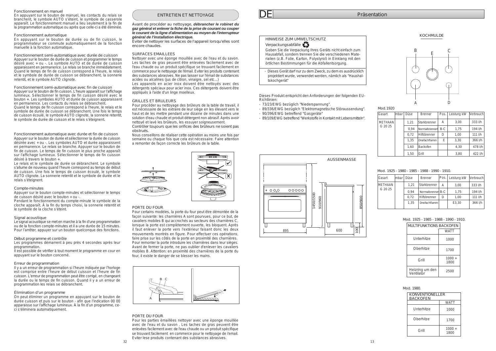# Fonctionnement en manuel

En appuyant sur le bouton de manuel, les contacts du relais se branchent, le symbole AUTO s'éteint, le symbole de casserole apparaît. Le fonctionnement manuel a lieu seulement à la fin de la programmation automatique ou après que celle-ci a été éliminée.

#### Fonctionnement automatique

En appuyant sur le bouton de durée ou de fin cuisson, le programmateur se commute automatiquement de la fonction manuelle à la fonction automatique.

Fonctionnement semi-automatique avec durée de cuisson Appuyer sur le bouton de durée de cuisson et programmer le temps désiré avec + ou -. Le symbole AUTO et de durée de cuisson apparaissent en permanence. Le relais se branche immédiatement. Quand le temps de fin de cuisson correspond à l'heure, le relais et le symbole de durée de cuisson se débranchent, la sonnerie retentit, et le symbole AUTO clignote.

Fonctionnement semi-automatique avec fin de cuisson Appuyer sur le bouton de fin cuisson. L'heure apparaît sur l'affichage lumineux. Sélectionner le temps de fin cuisson désiré avec le bouton +. Les symboles AUTO et durée de cuisson apparaissent en permanence. Les contacts du relais se débranchent. Quand le temps de fin cuisson correspond à l'heure, le relais et le symbole de durée de cuisson se débranchent. Une fois le temps de cuisson écoulé, le symbole AUTO clignote, la sonnerie retentit, le symbole de durée de cuisson et le relais s'éteignent.

# ENTRETIEN ET NETTOYAGE

Avant de procéder au nettoyage, *débrancher le robinet du gaz général et enlever la fiche de la prise de courant ou couper le courant de la ligne d'alimentation au moyen de l'interrupteur général de l'installation électrique.*

Eviter de nettoyer les surfaces de l'appareil lorsqu'elles sont encore chaudes.

# SURFACES EMAILLEES

Nettoyer avec une éponge mouillée avec de l'eau et du savon. Les taches de gras peuvent être enlevées facilement avec de l'eau chaude ou un produit spécifique se trouvant facilement en commerce pour le nettoyage de l'émail. Eviter les produits contenant des substances abrasives. Ne pas laisser sur l'émail de substances acides ou alcalines (jus de citron, vinaigre, sel etc...)

Les appareils en acier inox doivent être nettoyés avec des détergents spéciaux pour acier inox. Ces détergents doivent être appliqués à l'aide d'un linge moelleux.

# GRILLES ET BRULEURS

Pour procéder au nettoyage des brûleurs de la table de travail, il est nécessaire de les extraire de leur siège en les élevant vers le haut et de les mettre pendant une dizaine de minutes dans une solution d'eau chaude et produit détergent non abrasif. Après avoir nettoyé et lavé les brûleurs, les essuyer soigneusement.

Contrôler toujours que les orifices des brûleurs ne soient pas obstrués.

Nous conseillons de réaliser cette opération au moins une fois par semaine ou chaque fois que cela est nécessaire. Faire attention a remonter de façon correcte les brûleurs de la table.



| Gasart         | lmbar l | <b>Düse</b> | <b>Brenner</b>    | Pos. | Leistung kW | Verbrauch  |
|----------------|---------|-------------|-------------------|------|-------------|------------|
| <b>METHAAN</b> |         | 1.21        | Starkbrenner      | А    | 3,00        | 333 l/h    |
| G 20 25        |         | 0.94        | Normalbrenner B-C |      | 1,75        | 194 l/h    |
|                |         | 0.72        | Hilfsbrenner      | D    | 1,00        | $111$ $Vh$ |
|                |         | 1,35        | Dreifachflamm     |      | E3,30       | 366 l/h    |
|                |         |             |                   |      |             |            |

Mod. 1925 - 1985 - 1988 - 1990 - 1910.

| MULTIFUNKTIONS BACKOFEN       |                  |  |  |
|-------------------------------|------------------|--|--|
|                               | <b>WATT</b>      |  |  |
| Unterhitze                    | 1000             |  |  |
| Oberhitze                     | 1700             |  |  |
| Grill                         | $1000 +$<br>1800 |  |  |
| Heizring um den<br>Ventilator | 2500             |  |  |

Mod. 1980.



# HINWEISE ZUM UMWELTSCHUTZ

Verpackungsabfälle

Geben Sie die Verpackung Ihres Geräts nicht einfach zum Hausabfall, sondern trennen Sie die verschiedenen Materialien (z.B. Folie, Karton, Polystyrol) in Einklang mit den örtlichen Bestimmungen für die Abfallentsorgung.

| Gasart         | lmbar | Düse | <b>Brenner</b> | Pos.  | Leistung kW | Verbrauch  |
|----------------|-------|------|----------------|-------|-------------|------------|
| <b>METHAAN</b> |       | 1,21 | Starkbrenner   | А     | 3,00        | 333 l/h    |
| G 20 25        |       | 0.94 | Normalbrenner  | $B-C$ | 1,75        | 194 l/h    |
|                |       | 0.72 | Hilfsbrenner   | D     | 1,00        | 111 l/h    |
|                |       | 1.35 | Dreifachflamm  | E     | 3,30        | 366 l/h    |
|                |       | 1,60 | Backofen       |       | 4.30        | 478 l/h    |
|                |       | 1.50 | Grill          |       | 3,80        | $422$ $Vh$ |

Mod. 1925 - 1980 - 1985 - 1988 - 1990 - 1910.

Dieses Produkt entspricht den Anforderungen der folgenden EU-Richtlinien:

- 73/23/EWG bezüglich "Niederspannung".
- 89/336/EWG bezüglich "Elektromagnetische Störaussendung".
- 90/396/EWG betreffend "Gasgeräte"
- 89/109/EWG betreffend "Werkstoffe in Kontakt mit Lebensmitteln".

- Dieses Gerät darf nur zu dem Zweck, zu dem es ausdrücklich projektiert wurde, verwendet werden, nämlich als "Haushaltskochgerät"

# Mod.1920

Fonctionnement automatique avec durée et fin de cuisson Appuyer sur le bouton de durée et sélectionner la durée de cuisson désirée avec + ou -. Les symboles AUTO et durée apparaissent en permanence. Le relais se branche. Appuyer sur le bouton de fin de cuisson. Le temps de fin cuisson le plus proche apparaît sur l'affichage lumineux. Sélectionner le temps de fin cuisson désiré à travers le bouton +.

Le relais et le symbole de durée se débranchent. Le symbole s'allume de nouveau quand l'heure correspond au temps de début de cuisson. Une fois le temps de cuisson écoulé, le symbole AUTO clignote. La sonnerie retentit et le symbole de durée et le relais s'éteignent.

#### Compte-minutes

Appuyer sur le bouton compte-minutes et sélectionner le temps de cuisson désiré avec le bouton + ou -.

Pendant le fonctionnement du compte-minute le symbole de la cloche apparaît. À la fin du temps choisi, la sonnerie retentit et le symbole de la cloche s'éteint.



# Signal acoustique

| <b>KONVENTIONELLER</b><br><b>BACKOFEN</b> |                  |  |
|-------------------------------------------|------------------|--|
|                                           | <b>WATT</b>      |  |
| Unterhitze                                | 1000             |  |
| Oberhitze                                 | 1700             |  |
| Grill                                     | $1000 +$<br>1800 |  |

Le signal acoustique se met en marche à la fin d'une programmation ou de la fonction compte-minutes et il a une durée de 15 minutes. Pour l'arrêter, appuyer sur un bouton quelconque des fonctions.

#### Début programme et contrôle

Les programmes démarrent à peu près 4 secondes après leur programmation.

Il est possible de vérifier à tout moment le programme en cour en appuyant sur le bouton concerné.

# Erreur de programmation

Il y a un erreur de programmation si l'heure indiquée par l'horloge est comprise entre l'heure de début cuisson et l'heure de fin cuisson. L'erreur de programmation peut être corrigé, en changeant la durée ou le temps de fin cuisson. Quand il y a un erreur de programmation les relais se débranchent.

### Élimination d'un programme

On peut éliminer un programme en appuyant sur le bouton de durée cuisson et puis sur le bouton - afin que l'indication 00 00 apparaisse sur l'affichage lumineux. À la fin d'un programme, ceci s'éliminera automatiquement.

# PORTE DU FOUR

Pour certains modèles, la porte du four peut être démontée de la façon suivante: les charnières A sont pourvues, pour ce but, de cavaliers mobiles B qui accrochés au secteurs des charnières C, lorsque la porte est complètement ouverte, les bloquent. Après il faut enlever la porte vers l'extérieur faisant donc les deux mouvements montrés en figure. Pour effectuer ces opérations, faire prise sur les côtés de la porte en proximité des charnières. Pour remonter la porte introduire les charnières dans leur sièges. Avant de fermer la porte, ne pas oublier d'enlever les cavaliers mobiles B. Attention: en proximité des charnières de la porte du four, il existe le danger de se blesser les mains.

# PORTE DU FOUR

Pour les parties èmaillèes nettoyer avec une èponge mouillèe avec de l'eau et du savon . Les taches de gras peuvent être enlevèes facilement avec de l'eau chaude ou un produit spècifique se trouvant facilement en commerce pour le nettoyage de i'email. Eviter lese produits contenant des substances abrasives.

DE Präsentation

# KOCHMULDE

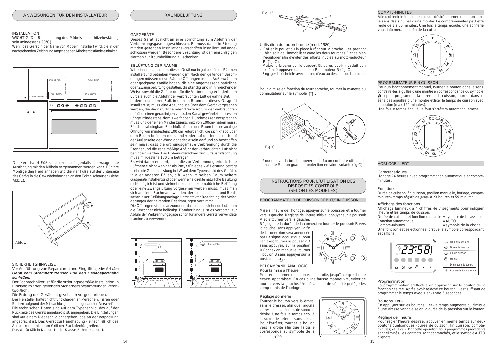

Utilisation du tournebroche (mod. 1980).

- Enfiler le poulet ou la pièce à rôtir sur la broche L en prenant bien soin de l'immobiliser entre les deux fourches F et de bien l'équilibrer afin d'éviter des efforts inutiles au moto-réducteur R. (fig. C).
- Mettre la broche sur le support G, après avoir introduit son extrémité opposée dans le trou P du moteur R (fig. C).
- Engager la lèchefrite avec un peu d'eau au dessous de la broche.

de la connexion sera annoncée par un signal acoustique; pour l'enlever, tourner le poussoir B sans appuyer, sur la position 0.Connexion manuelle: tourner il bouton B sans appuyer sur la position I a  $x^{\mu}$ .

- Pour enlever la broche opérer de la façon contraire utilisant la manette S et un guant de protection en laine isolante (fig.C).

Pour la mise en fonction du tournebroche, tourner la manette du commutateur sur le symbole .

Mise a l'heure de l'horloge: appuyer sur le poussoir et le tourner vers la gauche. Réglage de l'heure initiale: appuyer sur le poussoir A et le tourner vers la gauche.

Réglage de la durée de la connexion: tourner le poussoir B vers la gauche, sans appuyer. La fin

#### PCI CAMPANIL ANALOGIC Pour la mise à l'heure

Presser et tourner le bouton vers la droite, jusqu'à ce que l'heure exacte apparaisse. En cas d'une fausse manoeuvre, éviter de tourner vers la gauche. Un mécanisme de sécurité protége les composants de l'horloge.

### Réglage sonnerie

Durée de cuisson et fonction manuelle = symbole de la casserole Fonction automatique

Tourner le bouton vers la droite, sans le presser, afin que l'aiguille corresponde au temps de sonnerie désiré. Une fois le temps écoulé la sonnerie retentit sans cesse. Pour l'arrêter, tourner le bouton vers la droite afin que l'aiguille corresponde au symbole de la cloche rayée.

# HORLOGE "LED"

Caractéristiques Horloge 24 heures avec programmation automatique et compteminutes.

#### Fonctions

Durée de cuisson, fin cuisson, position manuelle, horloge, compteminutes, temps réglables jusqu'à 23 heures et 59 minutes.

#### Programmation

La programmation s'effectue en appuyant sur le bouton de la fonction désirée. Après avoir relâché ce bouton, il est suffisant de programmer le temps avec + et - entre 5 secondes.

Boutons + et -

En appuyant sur les boutons + et - le temps augmente ou diminue à une vitesse variable selon la durée de la pression sur le bouton.

#### Réglage de l'heure

Pour régler l'heure désirée, appuyer en même temps sur deux boutons quelconques (durée de cuisson, fin cuisson, compteminutes) et + ou -. Par cette opération, tous programmes précédents sont éliminés, les contacts sont débranchés, et le symbole AUTO clignote.







# PROGRAMMATEUR DE CUISSON DEBUT/FIN CUISSON



Affichage des fonctions

Affichage lumineux à 4 chiffres de 7 segments pour indiquer l'heure et les temps de cuisson.

Compte-minutes = symbole de la cloche

Une fonction est sélectionnée lorsque le symbole correspondant est affiché.







#### **SICHERHEITSHINWEISE**

Der Herd hat 4 Füße, mit denen nötigenfalls die waagrechte Ausrichtung mit den Möbeln vorgenommen werden kann. Für ihre Montage den Herd anheben und die vier Füße auf der Unterseite des Geräts in die Gewindebohrungen an den Ecken schrauben (siehe Abb. 1).

# INSTALLATION

WICHTIG: Die Beschichtung des Möbels muss hitzebeständig sein (mindestens 90°C).

Wenn das Gerät in der Nähe von Möbeln installiert wird, die in der nachstehenden Zeichnung angegebenen Mindestabstände einhalten.

Vor Ausführung von Reparaturen und Eingriffen jeder Art *das Gerät vom Stromnetz trennen und den Gasabsperrhahn schließen.*

Der Fachtechniker ist für die ordnungsgemäße Installation in Einklang mit den geltenden Sicherheitsbestimmungen verantwortlich.

Die Erdung des Geräts ist gesetzlich vorgeschrieben. Der Hersteller haftet nicht für Schäden an Personen, Tieren oder Sachen aufgrund der Missachtung der oben genannten Vorschriften. Die technischen Daten sind auf dem Typenschild, das auf der Rückseite des Geräts angebracht ist, angegeben. Die Einstellungen sind auf einem Klebeschild angegeben, das an der Verpackung angebracht ist. Das Gerät zur Handhabung - einschließlich des Auspackens - nicht am Griff der Backofentür greifen. Das Gerät fällt in Klasse 1 oder Klasse 2 Unterklasse 1.

# **GASGERÄTE**

Dieses Gerät ist nicht an eine Vorrichtung zum Abführen der Verbrennungsgase angeschlossen. Es muss daher in Einklang mit den geltenden Installationsvorschriften installiert und angeschlossen werden. Besondere Beachtung ist den einschlägigen Normen zur Raumbelüftung zu schenken.

#### BELÜFTUNG DER RÄUME



Wir erinnern daran, dass dieses Gerät nur in gut belüfteten Räumen installiert und betrieben werden darf. Nach den geltenden Bestimmungen müssen diese Räume Öffnungen in den Außenwänden oder geeignete Kanäle haben, die eine angemessene natürliche oder Zwangsbelüftung gestatten, die ständig und in hinreichender Weise sowohl die Zufuhr der für die Verbrennung erforderlichen Luft als auch die Abfuhr der verbrauchten Luft gewährleistet.

In dem besonderen Fall, in dem im Raum nur dieses Gasgerät installiert ist, muss eine Abzughaube über dem Gerät vorgesehen werden, die die natürliche oder direkte Abfuhr der verbrauchten Luft über einen geradlinigen vertikalen Kanal gewährleistet, dessen Länge mindestens dem zweifachen Durchmesser entsprechen muss und der einen Mindestquerschnitt von 100cm2 haben muss. Für die unabdingbare Frischluftzufuhr in den Raum ist eine analoge Öffnung von mindestens 100 cm<sup>2</sup> erforderlich, die sich knapp über dem Boden befinden muss und weder auf der Innen- noch auf der Außenseite der Wand abgedeckt sein darf und so beschaffen sein muss, dass die ordnungsgemäße Verbrennung durch die Brenner und die regelmäßige Abfuhr der verbrauchten Luft nicht behindert werden. Der Höhenunterschied zur Luftaustrittsöffnung muss mindestens 180 cm betragen.

Es wird daran erinnert, dass die zur Verbrennung erforderliche Luftmenge nicht weniger als 2m<sup>3</sup> /h für jedes kW Leistung beträgt (siehe die Gesamtleistung in kW auf dem Typenschild des Geräts). In allen anderen Fällen, d.h. wenn im selben Raum weitere Gasgeräte installiert sind oder wenn eine direkte natürliche Belüftung nicht möglich ist und vielmehr eine indirekte natürliche Belüftung oder eine Zwangslüftung vorgesehen werden muss, muss man sich an einen Fachmann wenden, der die Installation und Realisation einer Belüftungsanlage unter strikter Beachtung der Anforderungen der geltenden Bestimmungen vornimmt.

Die Öffnungen sind so anzuordnen, dass der entstehende Luftstrom die Bewohner nicht belästigt. Darüber hinaus ist es verboten, zur Abfuhr der Verbrennungsgase schon für andere Geräte verwendete Kamine zu verwenden.





### COMPTE-MINUTES

Afin d'obtenir le temps de cuisson désiré, tourner le bouton dans le sens des aiguilles d'une montre. Le compte-minutes peut être réglé de 1 à 60 minutes. Une fois le temps écoulé, une sonnerie vous informera de la fin de la cuisson.

### PROGRAMMATEUR FIN CUISSON

Pour un fonctionnement manuel, tourner le bouton dans le sens contraire des aiguilles d'une montre en correspondance du symbole ; pour programmer la durée de la cuisson, tourner dans le sens des aiguilles d'une montre et fixer le temps de cuisson avec le bouton (max.120 minutes).

Une fois le temps écoulé, le four s'arrêtera automatiquement.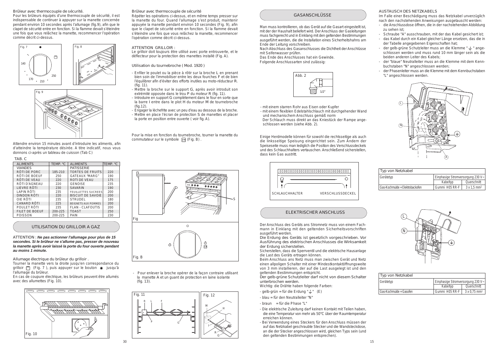



# TAB. C

# UTILISATION DU GRILLOIR A GAZ

Allumage électrique du brûleur du grilloir .

Tourner la manette vers la droite jusqu'en correspondance du grilloir  $\Box$  (Fig. 7), puis appuyer sur le bouton  $*$  jusqu'à l'allumage du brûleur.

En cas de coupure électrique, les brûleurs peuvent être allumés avec des allumettes (Fig. 10).

ATTENTION : *Ne pas actionner l'allumage pour plus de 15 secondes. Si le brûleur ne s'allume pas, presser de nouveau la manette après avoir laissé la porte du four ouverte pendant au moins 1 minute.*

# Brûleur avec thermocouple de sécurité

Pour la mise en fonction du tournebroche, tourner la manette du commutateur sur le symbole  $\Box$  (Fig. B).

Répéter les opérations ci-dessus, et en même temps presser sur la manette du four. Quand l'allumage s'est produit, maintenir appuyée la manette pendant environ 10 secondes (Fig. 9), afin que le clapet de sécurité entre en fonction. Si la flamme devait s'éteindre une fois que vous relâchez la manette, recommencer l'opération comme décrit ci-dessus.

# ATTENTION GRILLOIR :





Le grilloir doit toujours être utilisé avec porte entrouverte, et le déflecteur pour la protection des manettes installé (Fig. A).

- Pour enlever la broche opérer de la façon contraire utilisant la manette A et un guant de protection en laine isolante (fig. 13).

Utilisation du tournebroche ( Mod. 1920 )

- Enfiler le poulet ou la pièce à rôtir sur la broche L en prenant bien soin de l'immobiliser entre les deux fourches F et de bien l'équilibrer afin d'éviter des efforts inutiles au moto-réducteur R.  $(fig. 11)$ .
- Mettre la broche sur le support G, après avoir introduit son extrémité opposée dans le trou P du moteur R (fig. 11).
- Introduire en support G complètement dans le four en sorte que la barre I entre dans le plot H du moteur M de tournebroche (fig.12).
- Engager la lèchefrite avec un peu d'eau au dessous de la broche.
- Mettre en place l'écran de protection S de manettes et placer la porte en position entre ouverte ( voir fig. A).

# Brûleur avec thermocouple de sécurité.

Pour les brûleurs équipés d'une thermocouple de sécurité, il est indispensable de continuer à appuyer sur la manette concernée pendant environ 10 secondes après l'allumage (fig.9), afin que le clapet de sécurité entre en fonction. Si la flamme devait s'éteindre une fois que vous relâchez la manette, recommencer l'opération comme décrit ci-dessus.

- gelb-grün = für die Erdung " $\frac{1}{2}$ " (E)
- blau = für den Neutralleiter "N"
- braun = für die Phase "L"
- Die elektrische Zuleitung darf keinen Kontakt mit Teilen haben, die eine Temperatur von mehr als 50°C über der Raumtemperatur erreichen können.
- Bei Verwendung eines Steckers für den Anschluss müssen der auf das Netzkabel geschraubte Stecker und die Wandsteckdose, an die der Stecker angeschlossen wird, gleichen Typs sein (und den geltenden Bestimmungen entsprechen).

| <b>ALIMENTS</b>       | TEMP. °C | <b>ALIMENTS</b>            | TEMP. °C |
|-----------------------|----------|----------------------------|----------|
| <b>VIANDES</b>        |          | <b>PATISSERIE</b>          |          |
| RÔTI DE PORC          | 185-210  | <b>TORTES DE FRUITS</b>    | 220      |
| RÔTI DE BOEUF         | 250      | <b>GATEAUX "MARG"</b>      | 190      |
| RÔTI DE VEAU          | 220      | <b>ROTI DE VEAU</b>        | 175      |
| RÔTI D'AGNEAU         | 220      | <b>GENOISE</b>             | 235      |
| LIEVRE RÔTI           | 230      | <b>SAVARIN</b>             | 190      |
| LAPIN RÔTI            | 235      | FEUILLETTES SUCREES        | 200      |
| DINDON RÔTI           | 220      | <b>BISCUIT DE SAVOIE</b>   | 200      |
| OIE RÔTI              | 235      | STRUDEL                    | 180      |
| CANARD RÔTI           | 225      | <b>BEIGNETS AUX POMMES</b> | 200      |
| POULET RÔTI           | 235      | <b>FLAN - CLAFOUTIS</b>    | 200      |
| <b>FILET DE BOEUF</b> | 200-225  | <b>TOAST</b>               | 250      |
| <b>POISSON</b>        | 200-225  | <b>PAIN</b>                | 230      |
|                       |          |                            |          |







# GASANSCHLÜSSE

# ELEKTRISCHER ANSCHLUSS

- mit einem starren Rohr aus Eisen oder Kupfer

- mit einem flexiblen Edelstahlschlauch mit durchgehender Wand und mechanischem Anschluss gemäß norm

Der Schlauch muss direkt an das Kniestück der Rampe angeschlossen werden (siehe Abb. 2).

Einige Herdmodelle können für sowohl die rechtsseitige als auch die linksseitige Speisung eingerichtet sein. Zum Ändern der Speiseseite muss man lediglich die Position des Verschlussdeckels und des Schlauchhalters vertauschen. Anschließend sicherstellen, dass kein Gas austritt.

Man muss kontrollieren, ob das Gerät auf die Gasart eingestellt ist, mit der der Haushalt beliefert wird. Der Anschluss der Gasleitungen muss fachgerecht und in Einklang mit den geltenden Bestimmungen ausgeführt werden, die die Installation eines Sicherheitshahns am Ende der Leitung vorschreiben.

Nach Abschluss des Gasanschlusses die Dichtheit der Anschlüsse mit Seifenwasser prüfen.

Das Ende des Anschlusses hat ein Gewinde.

Folgende Anschlussarten sind zulässig:



Der Anschluss des Geräts ans Stromnetz muss von einem Fachmann in Einklang mit den geltenden Sicherheitsvorschriften ausgeführt werden.

Die Erdung des Geräts ist gesetzlich vorgeschrieben. Vor Ausführung des elektrischen Anschlusses die Wirksamkeit der Erdung sicherstellen.

Sicherstellen, dass die Sperrventil und die elektrische Hausanlage die Last des Geräts ertragen können.

Beim Anschluss ans Netz muss man zwischen Gerät und Netz einen allpoligen Schalter mit einer Mindestkontaktöffnungsweite von 3 mm installieren, der auf die Last ausgelegt ist und den geltenden Bestimmungen entspricht.

Der gelb-grüne Schutzleiter darf nicht von diesem Schalter unterbrochen werden.

Wichtig: die Drähte haben folgende Farben:

# AUSTAUSCH DES NETZKABELS

Im Falle einer Beschädigung muss das Netzkabel unverzüglich nach den nachstehenden Anweisungen ausgetauscht werden:

- die Anschlussdose öffnen, die in der nachstehenden Abbildung zu sehen ist;
- Schraube "A" ausschrauben, mit der das Kabel gesichert ist;
- das Kabel durch ein Kabel gleicher Länge ersetzen, das die in der Tabelle angegebenen Eigenschaften hat;
- der gelb-grüne Schutzleiter muss an die Klemme " $\pm$ " angeschlossen werden und muss rund 10 mm länger sein als die beiden anderen Leiter des Kabels;
- der "blaue" Neutralleiter muss an die Klemme mit dem Kennbuchstaben "N" angeschlossen werden;
- der Phasenleiter muss an die Klemme mit dem Kennbuchstaben "L" angeschlossen werden.

| Typ von Netzkabel               |                                   |                                |  |  |
|---------------------------------|-----------------------------------|--------------------------------|--|--|
| Gerätetyp                       | Einphasige Stromversorgung 230 V~ |                                |  |  |
|                                 | Kabeltyp                          | Querschnitt                    |  |  |
| Gas-Kochmulde + Elektrobackofen | Gummi H05 RR-F                    | $3 \times 1.5$ mm <sup>2</sup> |  |  |

| Typ von Netzkabel                                |                |                                 |
|--------------------------------------------------|----------------|---------------------------------|
| Einphasige Stromversorgung 230 $V~$<br>Gerätetyp |                |                                 |
|                                                  | Kabeltyp       | Querschnitt                     |
| Gas-Kochmulde + Gasofen                          | Gummi H05 RR-F | $3 \times 0.75$ mm <sup>2</sup> |



Attendre environ 15 minutes avant d'introduire les aliments, afin d'atteindre la température désirée. A titre indicatif, nous vous donnons ci-après un tableau de cuisson (Tab C)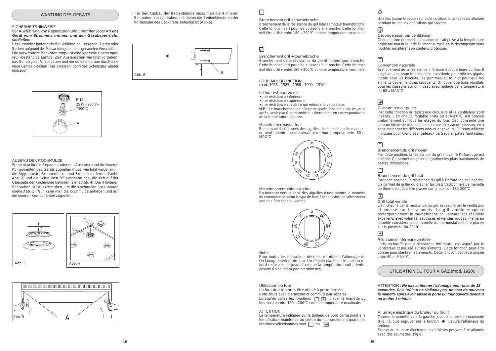

# $\Box$





WARTUNG DES GERÄTS

### **SICHERHEITSHINWEISE**



UTILISATION DU FOUR A GAZ (mod. 1920).

# Branchement gril + tournebroche

Branchement de la résistance du gril et moteur tournebroche. Cette fonction sert pour les cuissons à la broche. Cette fonction doit être utilisé entre 180 ÷ 200°C comme température maximale.

FOUR MULTIFONCTION mod. 1925 - 1985 - 1988 - 1990 - 1910

Le four est pourvu de:

- une résistance inférieure;
- une résistance supérieure;
- une résistance circulaire qui entoure le ventilateur.

N.B.: Le branchement de n'importe quelle fonction a lieu toujours après avoir placé la manette du thermostat en correspondance de la température désirée.

#### Manette thermostat four

En tournant dans le sens des aiguilles d'une montre cette manette, on peut obtenir une température du four comprise entre 60 et MAX°C.

#### Manette commutateur du fou

En tournant vers le sens des aiguilles d'une montre la manette du commutateur, selon le type de four, il est possible de sélectionner une des fonctions suivantes.



#### Note:

Pour toutes les opérations décrites, on obtient l'allumage de l'éclairage intérieur du four. Un témoin placé sur le tableau de bord reste allumé jusqu'à ce que la température soit attente, ensuite il s'allumera par intermittence.

Une fois tourné le bouton sur cette position, la lampe reste allumée pendant toutes les opérations qui suivent.

# 圆

Décongélation par ventilateur

Cette position permet la circulation de l'air pulsé à la température ambiante tout autour de l'aliment surgelé en le décongelant sans modifier ou altérer son contenu protéique.

# $\Box$

# Convention naturelle

Branchement de la résistance inférieure et supérieure du four. Il s'agit de la cuisson traditionnelle, excellente pour rôtir les gigots, idéale pour les biscuits, les pommes au four et pour que les aliments deviennent très croquants. On obtient de bons résultats pour les cuissons sur un niveau avec réglage de la température de 60 à MAX°C.

# 网

La température indiquée sur le tableau de bord correspond à la température maintenue au centre du four seulement quand les fonctions sélectionnées sont  $\Box$  ou  $\circledR$ 

# ۰Õ.

# Cuisson par air pulsé

Par cette fonction la résistance circulaire et le ventilateur sont insérés. L'air chaud, réglable entre 60 et MAX°C, est poussé uniformément sur tous les étages du four. Ceci consente une cuisson idéale de plusieurs mets ensemble (viande, poisson, etc.) sans mélanger les différents odeurs et saveurs. Cuisson délicate indiquée pour Génoises, gâteaux de Savoie, pâtes feuilletées, etc.

# $\boxed{r}$

#### Branchement du gril moyen

Par cette position, la résistance du gril moyen à l'infrarouge est insérée. Ça permet de griller ou gratiner les plats traditionnels de petites dimensions.

# $\Box$

# Branchement du gril total

Par cette position, la résistance du gril à l'infrarouge est insérée. Ça permet de griller ou gratiner les plats traditionnels.La manette du thermostat doit être placée sur la position 180-200°C.

# 圆



# Grill total ventilé

L'air, chauffé par la résistance du gril, est aspiré par le ventilateur et poussé sur les aliments. Le gril ventilé remplace remarquablement le tournebroche et il assure des résultats excellents avec volailles, saucisses et viandes rouges, même en quantité considérable.La manette du thermostat doit être placée sur la position 180-200°C.

# $\mathbb{Z}$

# Résistance inférieure ventilée

L'air, réchauffé par la résistance inférieure, est aspiré par le ventilateur et poussé sur les aliments. Cette fonction peut être utilisée pour stériliser les aliments. Cette fonction peut être utilisée entre 60 et MAX°C.

#### Utilisation du four

Le four doit toujours être utilisé à porte fermée. Note: fours avec thermostat et commutateur séparés. Lorsqu'on utilise les fonctions  $\Box$   $\Box$  placer la manette du thermostat entre 180 ÷ 200°C comme température maximale.

## ATTENTION:

Allumage électrique du brûleur du four ).

Tourner la manette vers la gauche jusqu'à la position maximale (Fig. 7), puis appuyer sur le bouton  $*$  jusqu'à l'allumage du brûleur.

En cas de coupure électrique, les brûleurs peuvent être allumés avec des allumettes. (fig 8).

# Branchement gril + tournebroche

Branchement de la résistance du gril total et moteur tournebroche. Cette fonction sert pour les cuissons à la broche. Cette fonction doit être utilisé entre 180 ÷ 200°C comme température maximale.

# $\boxed{\Box}$

Vor Ausführung von Reparaturen und Eingriffen jeder Art *das Gerät vom Stromnetz trennen und den Gasabsperrhahn schließen.*

Der Hersteller haftet nicht für Schäden an Personen, Tieren oder Sachen aufgrund der Missachtung der oben genannten Vorschriften. Die verwendete Backofenlampe ist eine spezielle Hochtemperatur-beständige Lampe. Zum Austauschen wie folgt vorgehen: das Schutzglas (A) ausbauen und die defekte Lampe durch eine neue Lampe gleichen Typs ersetzen; dann das Schutzglas wieder einbauen.

# AUSBAU DER KOCHMULDE

Wenn man für die Reparatur oder den Austausch auf die inneren Komponenten des Geräts zugreifen muss, wie folgt vorgehen: die Rippenroste, Brennerdeckel und Brenner entfernen (siehe Abb. 3) und die Schrauben "V" ausschrauben, die sich auf der Oberseite der Kochmulde befinden (siehe Abb. 4). Die 4 hinteren Schrauben "A" ausschrauben, um die Kochmulde auszubauen (siehe Abb. 5). Nun kann man die Kochmulde anheben und auf die inneren Komponenten zugreifen.

- Für den Ausbau der Bedienblende muss man die 4 inneren Schrauben ausschrauben, mit denen die Bedienblende an der Vorderseite des Backofens befestigt ist (Abb.6).

> ATTENTION : *Ne pas actionner l'allumage pour plus de 15 secondes. Si le brûleur ne s'allume pas, presser de nouveau la manette après avoir laissé la porte du four ouverte pendant au moins 1 minute.*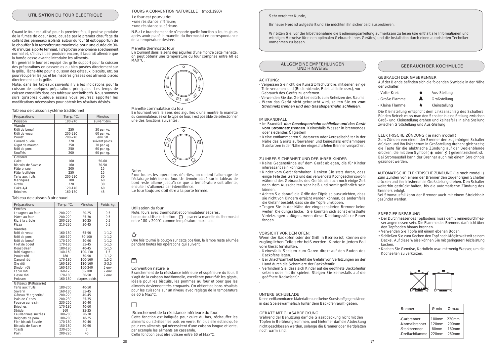AUTOMATISCHE ELEKTRISCHE ZÜNDUNG ( je nach modell ) Zum Zünden von einem der Brenner den zugehörigen Schalter drücken und ihn linksherum in Großstellung drehen. Den Schalter weiterhin gedrückt halten, bis die automatische Zündung des Brenners erfolgt.

Bei Stromausfall kann der Brenner auch mit einem Streichholz gezündet werden.

# ALLGEMEINE EMPFEHLUNGEN UND HINWEISE

## ACHTUNG:

- Vergessen Sie nicht, die Kunststoffschutzfolie, mit denen einige Teile versehen sind (Bedienblende, Edelstahlteile usw.), vor Gebrauch des Geräts zu entfernen.
- Verwenden Sie das Gerät keinesfalls zum Beheizen des Raums.
- Wenn das Gerät nicht gebraucht wird, sollten Sie *es vom Stromnetz trennen und den Gasabsperrhahn schließen.*

# IM BRANDFALL:

- Im Brandfall *den Gasabsperrhahn schließen und das Gerät vom Stromnetz trennen.* Keinesfalls Wasser in brennendes oder siedendes Öl gießen!
- Keine entflammbaren Substanzen oder Aerosolbehälter in der Nähe des Geräts aufbewahren und keinesfalls entflammbare Substanzen in der Nähe der eingeschalteten Brenner versprühen.

#### ZU IHRER SICHERHEIT UND DER IHRER KINDER

- Keine Gegenstände auf dem Gerät ablegen, die für Kinder interessant sein könnten.
- Kinder vom Gerät fernhalten. Denken Sie stets daran, dass einige Teile des Geräts und das verwendete Kochgeschirr sowohl während des Gebrauchs des Geräts als auch noch einige Zeit nach dem Ausschalten sehr heiß und somit gefährlich sein können.
- Achten Sie darauf, die Griffe der Töpfe so auszurichten, dass sie nicht von Kindern erreicht werden können, da andernfalls die Gefahr besteht, dass sie die Töpfe umkippen.
- Tragen Sie in der Nähe der eingeschalteten Brenner keine weiten Kleidungsstücke. Sie könnten sich sonst ernsthafte Verletzungen zufügen, wenn diese Kleidungsstücke Feuer fangen.

# VORSICHT VOR DEM OFEN:

Wenn der Backofen oder der Grill in Betrieb ist, können die zugänglichen Teile sehr heiß werden. Kinder in jedem Fall vom Gerät fernhalten.

- Keinesfalls Speisen zum Garen direkt auf den Boden des Backofens legen.
- Bei Unachtsamkeit besteht die Gefahr von Verletzungen an der Hand durch die Scharniere der Backofentür.
- Verhindern Sie, dass sich Kinder auf die geöffnete Backofentür setzen oder mit ihr spielen. Steigen Sie keinesfalls auf die geöffnete Backofentür.

En général le four est équipé de: grille support pour la cuisson des préparations en casseroles ou bien posées directement sur la grille, lèche-frite pour la cuisson des gâteaux, biscuits, etc. ou pour récupérer les jus et les matières grasses des aliments placés directement sur la grille.

.

# UNTERE SCHUBLADE

Keine entflammbaren Materialien und keine Kunststoffgegenstände in das Speisewärmefach (unter dem Backofenraum) geben.

GEBRAUCH DER GASBRENNER Auf der Blende befinden sich die folgenden Symbole in der Nähe der Schalter:

- Voller Kreis **Cauca Aus-Stellung**
- $-GroBe$  Flamme  $\qquad \qquad \bullet$  Großstellung
- $-$  Kleine Flamme  $\bullet$  Kleinstellung
- 

Die Kleinstellung entspricht dem Linksanschlag des Schalters. Für den Betrieb muss man den Schalter in eine Stellung zwischen Groß- und Kleinstellung drehen und keinesfalls in eine Stellung zwischen Großstellung und Aus-Stellung.

# GEBRAUCH DER KOCHMULDE

# ELEKTRISCHE ZÜNDUNG ( je nach modell )

Zum Zünden von einem der Brenner den zugehörigen Schalter drücken und ihn linksherum in Großstellung drehen; gleichzeitig die Taste für die elektrische Zündung auf der Bedienblende drücken, die mit dem Symbol ( $\ast$  oder  $\ast$ ) gekennzeichnet ist. Bei Stromausfall kann der Brenner auch mit einem Streichholz gezündet werden.

# ENERGIEEINSPARUNG

- Der Durchmesser des Topfbodens muss dem Brennerdurchmesser angemessen sein. Die Flamme des Brenners darf nicht über den Topfboden hinaus brennen.
- Verwenden Sie Töpfe mit einem ebenen Boden.
- Schließen Sie zum Kochen den Topf nach Möglichkeit mit seinem Deckel. Auf diese Weise können Sie mit geringerer Heizleistung kochen.
- Kochen Sie Gemüse, Kartoffeln usw. mit wenig Wasser, um die Kochzeiten zu verkürzen.



# *Sehr verehrter Kunde,*

*Ihr neuer Herd ist aufgestellt und Sie möchten ihn sicher bald ausprobieren.*

*Wir bitten Sie, vor der Inbetriebnahme die Bedienungsanleitung aufmerksam zu lesen (sie enthält alle Informationen und wichtigen Hinweise für einen optimalen Gebrauch Ihres Gerätes) und die Installation durch einen autorisierten Techniker vornehmen zu lassen.*

# UTILISATION DU FOUR ELECTRIQUE

Quand le four est utilisé pour la première fois, il peut se produire de la fumée de odeur âcre, causée par le premier chauffage du collant des panneaux isolants autour du four (il est opportun de le chauffer à la température maximale pour une durée de 30- 40 minutes à porte fermée). Il s'agit d'un phénomène absoluement normal et, s'il devait se produire encore, il faudrait attendre que la fumée cesse avant d'introduire les aliments.

Note: dans les tableaux suivants il y a les indications pour la cuisson de quelques préparations principales. Les temps de cuisson conseillés dans ces tableaux sont indicatifs. Nous sommes sûrs qu'après quelque essais vous pourrez apporter les modifications nécessaires pour obtenir les résultats désirés.

#### Tableau de cuisson système traditionnel

# Tableau de cuisson à air chaud

| Préparations              | Temp. °C. | <b>Minutes</b> | Poids kg.  |
|---------------------------|-----------|----------------|------------|
| Entrées                   |           |                |            |
| Lasagnes au four          | 200-220   | $20 - 25$      | 0,5        |
| Pâtes au four             | 200-220   | 25-30          | 0,5        |
| Riz à la créole           | 200-230   | $20 - 25$      | 0,5        |
| Pizza                     | 210-230   | 30-45          | 0,5        |
| Viandes                   |           |                |            |
| Rôti de veau              | 160-180   | 65-90          | $1 - 1, 2$ |
| Rôti de porc              | 160-170   | 70-100         | $1 - 1, 2$ |
| Rôti de boeuf             | 170-190   | 40-60          | $1 - 1, 2$ |
| Filet de boeuf            | 170-180   | 35-45          | $1 - 1, 5$ |
| Roast-Beef                | 180-190   | $40 - 45$      | $1 - 1, 5$ |
| Rôti d'agneau             | 140-160   | 100-130        | 1,5        |
| Poulet rôti               | 180       | 70-90          | $1 - 1, 2$ |
| Canard rôti               | 170-180   | 100-160        | $1, 5 - 2$ |
| Oie rôti                  | 160-180   | 120-160        | $3 - 3, 5$ |
| Dindon rôti               | 160-170   | 160-240        | 5 env.     |
| Lapin rôti                | 160-170   | 80-100         | 2 env.     |
| Lievre rôti               | 170-180   | $30 - 50$      | $2$ env.   |
| Poisson                   | 160-180   | d'après poids  |            |
| Gâteaux (Pâtisserie)      |           |                |            |
| Tarte aux fruits          | 180-200   | $40 - 50$      |            |
| Savarin                   | 160-180   | 35-45          |            |
| Gâteau "Margherita"       | 200-220   | $40 - 45$      |            |
| Pain de Genes             | 200-230   | 25-35          |            |
| Fouace au raisin          | 230-250   | 30-40          |            |
| <b>Brioches</b>           | 170-180   | 40-60          |            |
| Strûdel                   | 160       | 25-35          |            |
| Feuillantines sucrèes     | 180-200   | 20-30          |            |
| Beignets de pom.          | 180-200   | 18-25          |            |
| Flan biscuit Savoie       | 170-180   | $30 - 40$      |            |
| <b>Biscuits de Savoie</b> | 150-180   | 50-60          |            |
| Toasts                    | 230-250   | 7              |            |
| Pain                      | 200-220   | 40             |            |

### FOURS A CONVENTION NATURELLE (mod.1980)



Manette commutateur du fou

| Preparations       | Temp. °C.   | <b>Minutes</b> |
|--------------------|-------------|----------------|
| Poisson            | 180-240     | suivant dim.   |
| Viande             |             |                |
| Rôti de boeuf      | 250         | 30 par kg.     |
| Rôti de veau       | 200-220     | 60 par kg.     |
| Poulet             | 200-240     | env.50         |
| Canard ou oie      | 220         | suivant poids. |
| Gigot de mouton    | 250         | 30 par kg.     |
| Rôti de porc       | 250         | 60 par kg.     |
| Soufflés           | 200         | 60 par kg.     |
| Gateaux            |             |                |
| Cake               | 160         | 50-60          |
| Biscuits de Savoie | 160         | $30 - 50$      |
| Pâte brisée        | 200         | 15             |
| Pâte feuilletée    | 250         | 15             |
| Tarte aux fruits   | 200-220     | 30             |
| Meringues          | 100         | 60             |
| Gratin             | 220         | 30             |
| Cake 4/4           | $120 - 140$ | 60             |
| <b>Brioches</b>    | 160-180     | 45             |

Le four est pourvu de:

- une résistance inférieure; • une résistance supérieure.
- 

N.B.: Le branchement de n'importe quelle fonction a lieu toujours après avoir placé la manette du thermostat en correspondance de la température désirée.

#### Note:

Pour toutes les opérations décrites, on obtient l'allumage de l'éclairage intérieur du four. Un témoin placé sur le tableau de bord reste allumé jusqu'à ce que la température soit attente, ensuite il s'allumera par intermittence.

Le four toujours doit être a la porte fermée.

# Utilisation du four

Note: fours avec thermostat et commutateur séparés. Lorsqu'on utilise le fonction 回 placer la manette du thermostat entre 180 ÷ 200°C comme température maximale.

# ۰Õ.

Une fois tourné le bouton sur cette position, la lampe reste allumée pendant toutes les opérations qui suivent.

# 囗

# Manette thermostat four

En tournant dans le sens des aiguilles d'une montre cette manette, on peut obtenir une température du four comprise entre 60 et MAX°C.

En tournant vers le sens des aiguilles d'une montre la manette du commutateur, selon le type de four, il est possible de sélectionner une des fonctions suivantes.



 Branchement de la résistance inférieure du four. Cette fonction est indiquée pour cuire du bas, réchauffer les aliments ou stériliser les pots en verre. En plus elle est indiquée pour ces aliments qui nécessitent d'une cuisson longue et lente, par exemple les aliments en casserole. Cette fonction peut être utilisée entre 60 et Max°C.

# Convention naturelle

Branchement de la résistance inférieure et supérieure du four. Il s'agit de la cuisson traditionnelle, excellente pour rôtir les gigots, idéale pour les biscuits, les pommes au four et pour que les aliments deviennent très croquants. On obtient de bons résultats pour les cuissons sur un niveau avec réglage de la température de 60 à Max°C.

# GERÄTE MIT GLASABDECKUNG

Während der Benutzung darf die Glasabdeckung nicht mit den Töpfen in Berührung kommen, und hinterher darf die Abdeckung nicht geschlossen werden, solange die Brenner oder Herdplatten noch warm sind.

| <b>Brenner</b>  | $\varnothing$ min | $\varnothing$ max |
|-----------------|-------------------|-------------------|
| -Garbrenner     | 180 <sub>mm</sub> | $220$ mm          |
| -Normalbrenner  | 120 <sub>mm</sub> | 200 <sub>mm</sub> |
| -Starkbrenner   | 80 <sub>mm</sub>  | 160mm             |
| -Dreifachflamme | $220$ mm          | 260mm             |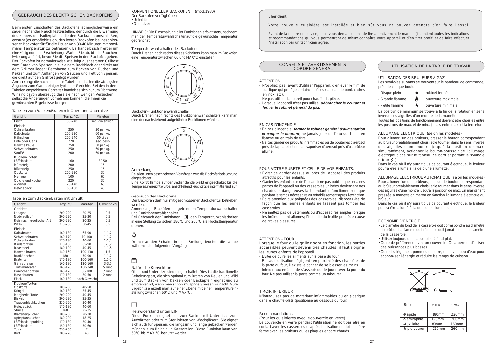

#### Heizwiderstand unten EIN

Diese Funktion eignet sich zum Backen mit Unterhitze, zum Aufwärmen oder zum Sterilisieren von Weckgläsern. Sie eignet sich auch für Speisen, die langsam und lange gebacken werden müssen, zum Beispiel in Kasserollen. Diese Funktion kann von 60°C bis MAX °C benutzt werden.

# GEBRAUCH DES ELEKTRISCHEN BACKOFENS

#### Tabellen zum Backen/Braten mit Umluft

Beim ersten Einschalten des Backofens ist möglicherweise ein sauer riechender Rauch festzustellen, der durch die Erwärmung des Klebers der Isolierplatten, die den Backraum umschließen, entsteht (es empfiehlt sich, den leeren Backofen bei geschlossener Backofentür für die Dauer von 30-40 Minuten mit maximaler Temperatur zu betreiben). Es handelt sich hierbei um eine völlig normale Erscheinung. Warten Sie ab, bis die Rauchentwicklung aufhört, bevor Sie die Speisen in den Backofen geben. Der Backofen ist normalerweise wie folgt ausgestattet: Grillrost zum Garen von Speisen, die in einem Backblech oder direkt auf dem Grillrost liegen; Fettpfanne zum Backen von Kuchen und Keksen und zum Auffangen von Saucen und Fett von Speisen, die direkt auf den Grillrost gelegt wurden.

> Bei Gebrauch der Funktionen  $\Box$  den Temperaturwahlschalter in eine Stellung zwischen 180°C und 200°C als Höchsttemperatur drehen.

# ۰Õ.

KONVENTIONELLER BACKOFEN (mod.1980) Der Backofen verfügt über: • Unterhitze;

Anmerkung: die nachstehenden Tabellen enthalten die wichtigsten Angaben zum Garen einiger typischer Gerichte. Bei den in den Tabellen empfohlenen Garzeiten handelt es sich nur um Richtwerte. Wir sind davon überzeugt, dass sie nach wenigen Versuchen selbst die Änderungen vornehmen können, die Ihnen die gewünschten Ergebnisse bringen.

# Tabellen zum Backen/Braten mit Ober- und Unterhitze

# Gebrauch des Backofens

Der Backofen darf nur mit geschlossener Backofentür betrieben werden.

Anmerkung: Backöfen mit getrennten Temperaturwahlschalter und Funktionenwahlschalter.

• Oberhitze;

HINWEIS: Die Einschaltung aller Funktionen erfolgt stets, nachdem man den Temperaturwahlschalter auf die gewünschte Temperatur gedreht hat.

Temperaturwahlschalter des Backofens Durch Drehen nach rechts dieses Schalters kann man im Backofen eine Temperatur zwischen 60 und MAX°C einstellen.

# Backofen-Funktionenwahlschalter

Durch Drehen nach rechts des Funktionenwahlschalters kann man eine der nachstehend aufgeführten Funktionen wählen.





Bei allen unten beschriebenen Vorgängen wird die Backofenbeleuchtung eingeschaltet.

Eine Kontrolllampe auf der Bedienblende bleibt eingeschaltet, bis die Temperatur erreicht wurde; anschließend leuchtet sie intermittierend auf.

Dreht man den Schalter in diese Stellung, leuchtet die Lampe während aller folgenden Vorgänge.

# Natürliche Konvektion

Pour allumer l'un des brûleurs, presser le bouton correspondant au brûleur préalablement choisi et le tourner dans le sens inverse des aiguilles d'une montre jusqu'à la position de max; simultanément, actionner le bouton-poussoir de l'allumage électrique placé sur le tableau de bord et portant le symbole  $(*or 7).$ 

Ober- und Unterhitze sind eingeschaltet. Dies ist die traditionelle Beheizungsart, die sich optimal zum Braten von Keulen und Wild und zum Backen von Keksen oder Backäpfeln eignet und zu empfehlen ist, wenn man schön knusprige Speisen wünscht. Gute Ergebnisse erzielt man auf einer Ebene mit einer Temperatureinstellung zwischen 60°C und MAX°C.

# CONSEILS ET AVERTISSEMENTS D'ORDRE GENERAL

### ATTENTION:

- N'oubliez pas, avant d'utiliser l'appareil, d'enlever le film de plastique qui protège certaines pièces (tableau de bord, cadres en inox, etc).
- Ne pas utiliser l'appareil pour chauffer la pièce.
- Lorsque l'appareil n'est pas utilisé, *débrancher le courant et fermer le robinet général du gaz.*

### EN CAS D'INCENDIE

- En cas d'incendie*, fermer le robinet général d'alimentation et couper le courant*; ne jamais jeter de l'eau sur l'huile en flamme ou en train de frire.
- Ne pas garder de produits infammables ou de bouteilles d'aérosol près de l'appareil et ne pas vaporiser d'aérosol près d'un brûleur allumé.

# POUR VOTRE SURETE ET CELLE DE VOS ENFANTS.

- Eviter de garder dessus ou près de l'appareil des produits attractifs pour les enfants.
- Garder les enfants loin de l'appareil: ne pas oublier que certaines parties de l'appareil ou des casseroles utilisées deviennent très chaudes et dangereuses tant pendant le fonctionnement que pendant le temps nécessaire au refroidissement après l'extinction.
- Faire attention aux poignées des casseroles, disposez-les de façon que les jeunes enfants ne fassent pas tomber les casseroles.
- Ne mettez pas de vêtements ou d'accessoires amples lorsque les brûleurs sont allumés; l'incendie du textile peut être cause de graves blessures.

# ATTENTION - FOUR:

Lorsque le four ou le grilloir sont en fonction, les parties accessibles peuvent devenir très chaudes, il faut éloigner les jeunes enfants de l'appareil.

- Eviter de cuire les aliments sur la base du four.
- En cas d'utilisation négligente en proximité des charnières de
- la porte du four, il existe le danger de se blesser les mains. - Interdir aux enfants de s'asseoir ou de jouer avec la porte du four. Ne pas utiliser la porte comme un tabouret.

#### TIROIR INFERIEUR

N'introduisez pas de matériaux inflammables ou en plastique dans le chauffe-plats (positionné au dessous du four).

# Recommandations

(Pour les cuisinières avec le couvercle en verre) Le couvercle en verre pendant l'utilisation ne doit pas être en contact avec les casseroles et après l'utilisation ne doit pas être ferme avec les brûleurs ou les plaques encore chauds.

# UTILISATION DE LA TABLE DE TRAVAIL

# UTILISATION DES BRULEURS A GAZ

Les symboles suivants se trouvent sur le bandeau de commande, près de chaque bouton:

- Disque plein  $\bullet$  robinet fermé
- 
- 
- 

 $\overline{\phantom{a}}$  - Grande flamme  $\overline{\phantom{a}}$  ouverture maximale

 $-Petite$  flamme  $\bullet$  ouverture minimale

La position de minimum se trouve à la fin de la rotation en sens inverse des aiguilles d'un montre de la manette.

Toutes les positions de fonctionnement doivent être choisies entre les positions de max. et de min., jamais entre max. et la fermeture.

ALLUMAGE ELECTRIQUE (selon les modèles)

Dans le cas où il n'y aurait plus de courant électrique, le brûleur pourra être allumé à l'aide d'une allumette.

ALLUMAGE ELECTRIQUE AUTOMATIQUE (selon les modèles) Pour allumer l'un des brûleurs, presser le bouton correspondant au brûleur préalablement choisi et le tourner dans le sens inverse des aiguilles d'une montre jusqu'à la position de max. En maintenant pressée la manette on mettra en fonction l'allumage électrique du brûleur.

Dans le cas où il n'y aurait plus de courant électrique, le brûleur pourra être allumé à l'aide d'une allumette.

# ECONOMIE D'ENERGIE

- Le diamètre du fond de la casserole doit correspondre au diamètre du brûleur. La flamme du brûleur ne doit jamais sortir du diamètre de la casserole.
- Utiliser toujours des casseroles à fond plat.
- Cuire de préférence avec un couvercle. Cela permet d'utiliser des puissances plus basses.
- Cuire les légumes, pommes de terre, etc. avec peu d'eau pour économiser l'énergie et réduire les temps de cuisson.



# *Cher client,*

*Votre nouvelle cuisinière est installée et bien sûr vous ne pouvez attendre d'en faire l'essai.*

*Avant de la mettre en service, nous vous demanderions de lire attentivement le manuel (il contient toutes les indications et recommandations qui vous permettront de mieux connaître votre appareil et d'en tirer profit) et de faire effectuer l'installation par un technicien agréé.*

| Gericht                   | Temp. °C. | Minuten      | Gewicht kg |
|---------------------------|-----------|--------------|------------|
| Gerichte                  |           |              |            |
| Lasagne                   | 200-220   | 20-25        | 0,5        |
| Nudelauflauf              | 200-220   | 25-30        | 0,5        |
| Reis nach kreolischer Art | 200-230   | 20-25        | 0,5        |
| Pizza                     | 210-230   | $30 - 45$    | 0,5        |
| Fleisch                   |           |              |            |
| Kalbsbraten               | 160-180   | 65-90        | $1 - 1, 2$ |
| Schweinebraten            | 160-170   | 70-100       | $1 - 1, 2$ |
| Ochsenbraten              | 170-190   | 40-60        | $1 - 1, 2$ |
| Rinderbraten              | 170-180   | 65-90        | $1 - 1, 2$ |
| Roastbeef                 | 180-190   | $40 - 45$    | $1 - 1, 5$ |
| Hammelbraten              | 140-160   | 100-130      | 1,5        |
| <b>Brathähnchen</b>       | 180       | 70-90        | $1 - 1, 2$ |
| <b>Bratente</b>           | 170-180   | 100-160      | $1,5-2$    |
| Gänsebraten               | 160-180   | 120-160      | $3-3,5$    |
| Truthahnbraten            | 160-170   | 160-240      | 5 rund     |
| Kaninchenbraten           | 160-170   | 80-100       | 2 rund     |
| Hasenbraten               | 170-180   | $30 - 50$    | 2 rund     |
| Fisch                     | 160-180   | nach Gewicht |            |
| Kuchen/Torten             |           |              |            |
| Obsttorte                 | 180-200   | $40 - 50$    |            |
| Kringel                   | 160-180   | 35-45        |            |
| Margherita Torte          | 200-220   | $40 - 45$    |            |
| <b>Biskuit</b>            | 200-230   | 25-35        |            |
| Traubenblechkuchen        | 230-250   | 30-40        |            |
| Hefegebäck                | 170-180   | 40-60        |            |
| Strudel                   | 160       | 25-35        |            |
| Blätterteigkuchen         | 180-200   | 20-30        |            |
| Apfelpfannkuchen          | 180-200   | 18-25        |            |
| Löffelbiskuitpudding      | 170-180   | 30-40        |            |
| Löffelbiskuit             | 150-180   | 50-60        |            |
| Toast                     | 230-250   | 7            |            |
| <b>Brot</b>               | 200-220   | 40           |            |

| Gericht           | Temp. °C. | Minuten         |
|-------------------|-----------|-----------------|
| Fisch             | 180-240   | sec. dimensioni |
| Fleisch           |           |                 |
| Ochsenbraten      | 250       | 30 per kg.      |
| Kalbsbraten       | 200-220   | $60$ per kg.    |
| Hähnchen          | 200-240   | 50 circa        |
| Ente oder Gans    | 220       | sec. peso       |
| Hammelkeule       | 250       | 30 per kg.      |
| Schweinebraten    | 250       | 60 per kg.      |
| Soufflé           | 200       | $60$ per kg.    |
| Kuchen/Torten     |           |                 |
| Löffelbiskuit     | 160       | $30 - 50$       |
| Mürbeteig         | 200       | 15              |
| Blätterteig       | 250       | 15              |
| Obsttorte         | 200-220   | 30              |
| Meringe           | 100       | 60              |
| Quiche und kuchen | 220       | 30              |
| 4 Viertel         | 120-140   | 60              |
| Hefegebäck        | 160-180   | 45              |

| <b>Brûleurs</b> | $\varnothing$ min | $\varnothing$ max |
|-----------------|-------------------|-------------------|
| -Rapide         | 180 <sub>mm</sub> | $220$ mm          |
| -Semirapide     | $120 \text{mm}$   | $200$ mm          |
| -Auxiliaire     | 80 <sub>mm</sub>  | 160mm             |
| -triple couron  | $220$ mm          | $260$ mm          |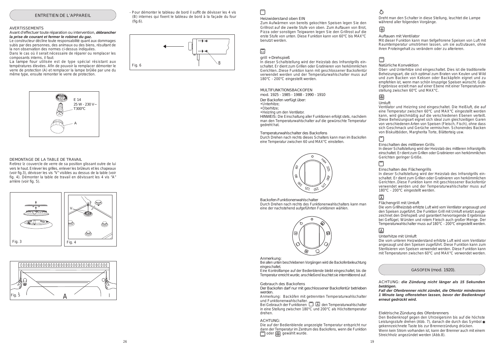# MULTIFUNKTIONSBACKOFEN

mod. 1925 - 1985 - 1988 - 1990 - 1910

# grill + Drehspieß

# Heizwiderstand oben EIN

Zum Aufwärmen von bereits gekochten Speisen legen Sie den Grillrost auf die zweite Stufe von oben. Zum Auftauen von Brot, Pizza oder sonstigen Teigwaren legen Sie den Grillrost auf die erste Stufe von unten. Diese Funktion kann von 60°C bis MAX°C benutzt werden.

# 圄



GASOFEN (mod. 1920).

Bei Gebrauch der Funktionen (ED ED den Temperaturwahlschalter in eine Stellung zwischen 180°C und 200°C als Höchsttemperatur drehen.

In dieser Schaltstellung wird der Heizstab des Infrarotgrills einschaltet. Er dient zum Grillen oder Gratinieren von herkömmlichen Gerichten..Diese Funktion kann mit geschlossener Backofentür verwendet werden und der Temperaturwahlschalter muss auf 180°C - 200°C eingestellt werden.

Gebrauch des Backofens

Der Backofen darf nur mit geschlossener Backofentür betrieben werden.

Anmerkung: Backöfen mit getrennten Temperaturwahlschalter und Funktionenwahlschalter.

Die auf der Bedienblende angezeigte Temperatur entspricht nur dann der Temperatur im Zentrum des Backofens, wenn die Funktion  $\Box$  oder  $\circledR$  gewählt wurde.

# ۰Õ.

Der Backofen verfügt über:

- Unterhitze;
- Oberhitze;
- Heizring um den Ventilator.

HINWEIS: Die Einschaltung aller Funktionen erfolgt stets, nachdem man den Temperaturwahlschalter auf die gewünschte Temperatur gedreht hat.

Temperaturwahlschalter des Backofens

Durch Drehen nach rechts dieses Schalters kann man im Backofen eine Temperatur zwischen 60 und MAX°C einstellen.

Backofen-Funktionenwahlschalter

Durch Drehen nach rechts des Funktionenwahlschalters kann man eine der nachstehend aufgeführten Funktionen wählen.



#### Anmerkung:

Bei allen unten beschriebenen Vorgängen wird die Backofenbeleuchtung eingeschaltet.

Eine Kontrolllampe auf der Bedienblende bleibt eingeschaltet, bis die Temperatur erreicht wurde; anschließend leuchtet sie intermittierend auf.

# ACHTUNG:

Auftauen mit Ventilator

Mit dieser Funktion kann man tiefgefrorene Speisen von Luft mit Raumtemperatur umströmen lassen, um sie aufzutauen, ohne ihren Proteingehalt zu verändern oder zu alterieren.

# □

# Natürliche Konvektion

Ober- und Unterhitze sind eingeschaltet. Dies ist die traditionelle Beheizungsart, die sich optimal zum Braten von Keulen und Wild und zum Backen von Keksen oder Backäpfeln eignet und zu empfehlen ist, wenn man schön knusprige Speisen wünscht. Gute Ergebnisse erzielt man auf einer Ebene mit einer Temperatureinstellung zwischen 60°C und MAX°C.

# 网

Umluft

Ventilator und Heizring sind eingeschaltet. Die Heißluft, die auf eine Temperatur zwischen 60°C und MAX°C eingestellt werden kann, wird gleichmäßig auf die verschiedenen Ebenen verteilt. Diese Beheizungsart eignet sich ideal zum gleichzeitigen Garen von verschiedenen Arten von Speisen (Fleisch, Fisch), ohne dass sich Geschmack und Gerüche vermischen. Schonendes Backen von Biskuitböden, Margherita Torte, Blätterteig usw.

# Einschalten des mittleren Grills

In dieser Schaltstellung wird der Heizstab des mittleren Infrarotgrills einschaltet. Er dient zum Grillen oder Gratinieren von herkömmlichen Gerichten geringer Größe.

# $\Box$

# Einschalten des Flächengrills

In dieser Schaltstellung wird der Heizstab des Infrarotgrills einschaltet. Er dient zum Grillen oder Gratinieren von herkömmlichen Gerichten..Diese Funktion kann mit geschlossener Backofentür verwendet werden und der Temperaturwahlschalter muss auf 180°C - 200°C eingestellt werden.

# 図

# Flächengrill mit Umluft

Die vom Grillheizstab erhitzte Luft wird vom Ventilator angesaugt und den Speisen zugeführt. Die Funktion Grill mit Umluft ersetzt ausgezeichnet den Drehspieß und garantiert hervorragende Ergebnisse bei Geflügel, Würsten und rotem Fleisch auch großer Menge. Der Temperaturwahlschalter muss auf 180°C - 200°C eingestellt werden.

# 圆

## Unterhitze mit Umluft

Die vom unteren Heizwiderstand erhitzte Luft wird vom Ventilator angesaugt und den Speisen zugeführt. Diese Funktion kann zum Sterilisieren von Speisen verwendet werden. Diese Funktion kann mit Temperaturen zwischen 60°C und MAX°C verwendet werden.

Dreht man den Schalter in diese Stellung, leuchtet die Lampe während aller folgenden Vorgänge.

# 圆

Elektrische Zündung des Ofenbrenners

Den Bedienknopf gegen den Uhrzeigersinn bis auf die höchste Leistungsstufe drehen (Abb. 7), danach die durch das Symbol  $\ast$ gekennzeichnete Taste bis zur Brennerzündung drücken.

Wenn kein Strom vorhanden ist, kann der Brenner auch mit einem Streichholz angezündet werden (Abb.8).

ACHTUNG: *die Zündung nicht länger als 15 Sekunden betätigen.*

*Fall der Ofenbrenner nicht zündet, die Ofentür mindestens 1 Minute lang offenstehen lassen, bevor der Bedienknopf erneut gedrückt wird.*



# $\Box$







ENTRETIEN DE L'APPAREIL

- Pour démonter le tableau de bord il suffit de dévisser les 4 vis (B) internes qui fixent le tableau de bord à la façade du four (fig.6).

#### AVERTISSEMENTS

Avant d'effectuer toute réparation ou intervention, *débrancher la prise de courant et fermer le robinet du gaz.*

Le constructeur décline toute responsabilité quant aux dommages subis par des personnes, des animaux ou des biens, résultant de la non observation des normes ci-dessus indiquées.

Dans le cas où il serait nécessaire de réparer ou remplacer les composants interns, il faut:

La lampe four utilisée est de type spécial résistant aux températures élevées. Afin de pouvoir la remplacer démonter le verre de protection (A) et remplacer la lampe brûlée par une du même type, ensuite remonter le verre de protection.

# DEMONTAGE DE LA TABLE DE TRAVAIL

Retirez lz couvercle de verre de sa position glissant outre de lui vers le haut. Enlever les grilles, enlever les brûleurs et les chapeaux (voir fig.3), dévisser les vis "V" visibles au dessus de la table (voir fig. 4). Démonter la table de travail en dévissant les 4 vis "A" arrière (voir fig. 5).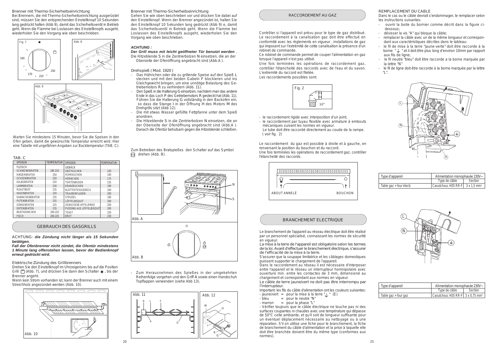

# GEBRAUCH DES GASGRILLS

Elektrische Zündung des Grillbrenners

Drehen Sie den Einstellknopf im Uhrzeigersinn bis auf die Position Grill  $\Box$  (Abb. 7), und drücken Sie dann den Schalter  $\angle$ , bis der Brenner angeht.

Wenn kein Strom vorhanden ist, kann der Brenner auch mit einem Streichholz angezündet werden (Abb. 10).

# Brenner mit Thermo-Sicherheitseinrichtung

Gehen Sie wie oben beschrieben vor und drücken Sie dabei auf den Einstellknopf. Wenn der Brenner angezündet ist, halten Sie den Einstellknopf 10 Sekunden lang gedrückt (Abb 9) e, damit das Sicherheitsventil in Betrieb geht. Wenn die Flamme bei Loslassen des Einstellknopfs ausgeht, wiederholen Sie den Vorgang wie oben beschrieben.

Drehspieß ( Mod. 1920 )

- Das Hähnchen oder die zu grillende Speise auf den Spieß L stecken und mit den beiden Gabeln F blockieren und ins Gleichgewicht bringen, um eine unnötige Belastung des Getriebemotors R zu verhindern (Abb. 11).
- Den Spieß in die Halterung G einsetzen, nachdem man das andere Ende in das Loch P des Getriebemotors R gesteckt hat (Abb. 11). Führen Sie die Halterung G vollständig in den Backofen ein, so dass die Stange I in der Öffnung H des Motors M des Drehgrills sitzt (Abb 12).
- Die mit etwas Wasser gefüllte Fettpfanne unter dem Spieß anordnen.
- Die Hitzeblende S in die Zentrierbolzen N einsetzen, die an der Oberseite der Ofenöffnung angebracht sind (Abb.A ). Danach die Ofentür behutsam gegen die Hitzeblende schließen.





- Zum Herausnehmen des Spießes in der umgekehrten Reihenfolge vorgehen und den Griff A sowie einen Handschuh Topflappen verwenden (siehe Abb 13).

# Brenner mit Thermo-Sicherheitseinrichtung

Bei Brennern, die mit Thermo-Sicherheitseinrichtung ausgerüstet sind, müssen Sie den entsprechenden Einstellknopf 10 Sekunden lang gedrückt halten (Abb 9), damit das Sicherheitsventil in Betrieb geht. Wenn die Flamme bei Loslassen des Einstellknopfs ausgeht, wiederholen Sie den Vorgang wie oben beschrieben.

Warten Sie mindestens 15 Minuten, bevor Sie die Speisen in den Ofen geben, damit die gewünschte Temperatur erreicht wird. Hier eine Tabelle mit ungefähren Angaben zur Backtemperatur (TAB. C).

ACHTUNG: *die Zündung nicht länger als 15 Sekunden betätigen.*

*Fall der Ofenbrenner nicht zündet, die Ofentür mindestens 1 Minute lang offenstehen lassen, bevor der Bedienknopf erneut gedrückt wird.*

- Important: les fils du câble d'alimentation ont les couleurs suivantes:
- jaune/vert = pour la mise à la terre " $\frac{1}{2}$ " (E)<br>- bleu = pour le neutre "N"
- $=$  pour le neutre "N"

Zum Betreiben des Bratspießes den Schalter auf das Symbol drehen (Abb. B).

> $-$  marron  $=$  pour la phase "L" - Vérifier toujours que le câble électrique ne touche pas ni des surfaces coupantes ni chaudes avec une température qui dépasse de 50°C celle ambiante, et qu'il soit de longueur suffisante pour un éventuel déplacement nécessaire au nettoyage ou à une réparation. S'il on utilise une fiche pour le branchement, la fiche de branchement du câble d'alimentation et la prise à laquelle elle doit être branchée doivent être du même type (conformes aux normes).

| TAB. C                 |                   |                             |                   |
|------------------------|-------------------|-----------------------------|-------------------|
| <b>SPEISEN</b>         | <b>TEMPERATUR</b> | <b>SPEISEN</b>              | <b>TEMPERATUR</b> |
| <b>FLEISCH</b>         |                   | <b>GEBÄCK</b>               |                   |
| <b>SCHWEINEBRATEN</b>  | 185-210           | <b>OBSTKUCHEN</b>           | 220               |
| <b>RINDERBRATEN</b>    | 250               | RÜHRKUCHEN                  | 190               |
| <b>OCHSENBRATEN</b>    | 220               | <b>HÖRNCHEN</b>             | 175               |
| <b>KALBSBRATEN</b>     | 220               | <b>TORTENBODEN</b>          | 235               |
| <b>LAMMBRATEN</b>      | 230               | <b>KRANZKUCHEN</b>          | 190               |
| <b>ROASTBEEF</b>       | 235               | BLÄTTERTEIGGEBÄCK           | 200               |
| <b>HASENBRATEN</b>     | 220               | <b>TRAUBENFLADEN</b>        | 200               |
| <b>KANINCHENBRATEN</b> | 235               | STRUDEL                     | 180               |
| <b>PUTENBRATEN</b>     | 235               | LÖFFELBISQUIT               | 200               |
| <b>GÄNSEBRATEN</b>     | 225               | <b>GEBACKENE APFELRINGE</b> | 200               |
| <b>ENTENBRATEN</b>     | 235               | PUDDING AUS LÖFFELBISQUIT   | 200               |
| <b>BRATHÄHNCHEN</b>    | 200-225           | <b>TOAST</b>                | 250               |
| <b>FISCH</b>           | 200-225           | <b>BROT</b>                 | 230               |





- le raccordement rigide avec interposition d'un joint;
- le raccordement par tuyau flexible avec armature à embouts mécaniques suivant les normes en vigueur.
- Le tube doit être raccordé directement au coude de la rampe. ( voir fig. 2)

Le raccordement du gaz est possible à droite et à gauche, en renversant la position du bouchon et du raccord. Une fois terminées les opérations de raccordement gaz, contrôler l'étancheité des raccords.

Les raccordements possibles sont:

# RACCORDEMENT AU GAZ

Contrôler si l'appareil est prévu pour le type de gaz distribué. Le raccordement à la canalisation gaz doit être effectué en conformité avec les règlements en vigueur , installations de gaz qui imposent sur l'extrémité de cette canalisation la présence d'un robinet de commande.

contrôler l'étancheité des raccords avec de l'eau et du savon. L'extremité du raccord est filetée. Une fois terminées les opérations de raccordement gaz,

Ce robinet de commande permet de couper l'alimentation en gaz lorsque l'appareil n'est pas utilisé.



# BRANCHEMENT ELECTRIQUE





Le branchement de l'appareil au réseau électrique doit être réalisé par un personnel spécialisé, connaissant les normes de sécurité en vigueur.

La mise à la terre de l'appareil est obligatoire selon les termes de la loi. Avant d'effectuer le branchement électrique, s'assurer de l'efficacité de la mise à la terre.

S'assurer que la soupape limitatrice et les câblages domestiques puissent supporter le chargement de l'appareil.

Dans le raccordement au réseau il est nécessaire d'interposer entre l'appareil et le réseau un interrupteur homnipolaire avec ouverture min. entre les contactes de 3 mm, dimensioné au chargement et correspondant aux normes en vigueur.

Le câble de terre jaune/vert ne doit pas être interrompu par l'interrupteur.

| Type d'appareil          | Alimentation monophasée 230V~                       |         |  |
|--------------------------|-----------------------------------------------------|---------|--|
|                          | Type de câble                                       | Section |  |
| Table gaz + four électr. | Caoutchouc H05 RR-F $\vert$ 3 x 1,5 mm <sup>2</sup> |         |  |

# REMPLACEMENT DU CABLE

Dans le cas ou le câble devrait s'endommager, le remplacer selon les instructions suivantes:

- ouvrir la boite du bornier comme décrit dans la figure ci dessous;
- dévisser la vis "A" qui bloque la câble;
- remplacer la câble avec un de la même longueur et correspon dant aux caractéristiques décrites dans le tableau:
- le fil de mise à la terre "jaune-verte" doit être raccorde à la borne " $\frac{1}{x}$ " et il doit être plus long d'environ 10mm par rapport aux fils de ligne;
- le fil neutre "bleu" doit être raccorde a la borne marquée par la lettre "N"
- le fil de ligne doit être raccorde à la borne marquée par la lettre "L".

| Type d'appareil                      | Alimentation monophasée 230V~                       |         |  |
|--------------------------------------|-----------------------------------------------------|---------|--|
|                                      | Type de câble                                       | Section |  |
| Table $\text{gaz} + \text{four gaz}$ | Caoutchouc H05 RR-F $3 \times 0.75$ mm <sup>2</sup> |         |  |

# *ACHTUNG :*

*Der Grill muss mit leicht geöffneter Tür benutzt werden* . Die Hitzeblende S in die Zentrierbolzen N einsetzen, die an der Oberseite der Ofenöffnung angebracht sind (Abb.A ).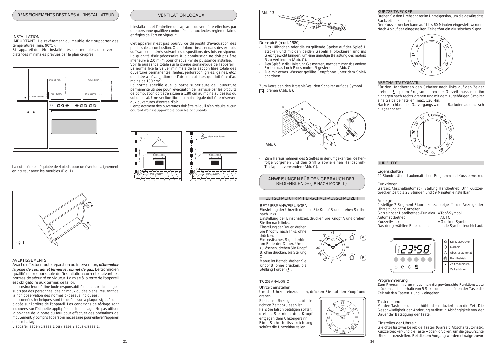



#### Programmierung

Zum Programmieren muss man die gewünschte Funktionstaste drücken und innerhalb von 5 Sekunden nach Lösen der Taste die Zeit mit den Tasten + und - eingeben.

### Tasten + und -

Mit den Tasten + und - erhöht oder reduziert man die Zeit. Die Geschwindigkeit der Änderung variiert in Abhängigkeit von der Dauer der Betätigung der Taste.

Zum Herausnehmen des Spießes in der umgekehrten Reihenfolge vorgehen und den Griff S sowie einen Handschuh-Topflappen verwenden (Abb. C).

#### Einstellen der Uhrzeit

Gleichzeitig zwei beliebige Tasten (Garzeit, Abschaltautomatik, Kurzzeitwecker) und die Taste + oder - drücken, um die gewünschte Uhrzeit einzustellen. Bei diesem Vorgang werden etwaige zuvor

Drehspieß (mod. 1980).

- Das Hähnchen oder die zu grillende Speise auf den Spieß L stecken und mit den beiden Gabeln F blockieren und ins Gleichgewicht bringen, um eine unnötige Belastung des motors R zu verhindern (Abb. C).
- Den Spieß in die Halterung G einsetzen, nachdem man das andere Ende in das Loch P des motors R gesteckt hat (Abb. C).
- Die mit etwas Wasser gefüllte Fettpfanne unter dem Spieß anordnen.

4-stellige 7-Segment-Fluoreszenzanzeige für die Anzeige der Uhrzeit und der Garzeiten. Garzeit oder Handbetrieb-Funktion = Topf-Symbol<br>Automatikbetrieb = AUTO Automatikbetrieb

Kurzzeitwecker = Glocken-Symbol

# KURZZEITWECKER

Drehen Sie den Drehschalter im Uhrzeigersinn, um die gewünschte Backzeit einzustellen.

Der Kurzzeitwecker kann auf 1 bis 60 Minuten eingestellt werden. Nach Ablauf der eingestellten Zeit ertönt ein akustisches Signal.

# ABSCHALTAUTOMATIK

Für den Handbetrieb den Schalter nach links auf den Zeiger drehen ( $\frac{M}{A}$  ; zum Programmieren der Garzeit muss man ihn hingegen nach rechts drehen und mit dem zugehörigen Schalter eine Garzeit einstellen (max. 120 Min.).

Manueller Betrieb: drehen Sie Knopf B, ohne drücken, bis Stellung I order  $\sqrt{\ }$ 

Nach Abschluss des Garvorgangs wird der Backofen automatisch ausgeschaltet.

# TR 259 ANALOGIC

# Uhrzeit einstellen

Um die Uhrzeit einzustellen, drücken Sie auf den Knopf und drehen

Sie ihn im Uhrzeigersinn, bis die richtige Zeit abzulesen ist. Falls Sie falsch betätigen sollten, drehen Sie nicht den Knopf entgegen dem Uhrzeigersinn. Eine Sicherheitsvorrichtung schützt die Uhrzeitbauteilen.

# UHR "LED"

La norme fixe la valuer minimale de la section libre totale des ouvertures permanentes (fentes, perforation, grilles, gaines, etc.) destinée à l'évacuation de l'air des cuisines qui doit être d'au moins de  $100 \text{ cm}^2$ .

> Eigenschaften 24-Stunden-Uhr mit automatischem Programm und Kurzzeitwecker.

# Funktionen

Garzeit, Abschaltautomatik, Stellung Handbetrieb, Uhr, Kurzzeitwecker, Zeit bis 23 Stunden und 59 Minuten einstellbar.

# Anzeige

Das der gewählten Funktion entsprechende Symbol leuchtet auf.









Zum Betreiben des Bratspießes den Schalter auf das Symbol drehen (Abb. B).

# BETRIEBSANWEISUNGEN

Einstellung der Uhrzeit: drüchen Sie Knopf B und drehen Sie ihn nach links.

Einstellung der Einschaltzeit: drücken Sie Knopf A und drehen Sie ihn nach links.

Einstellung der Dauer: drehen Sie Knopf B nach links, ohne

drücken. Ein kustisches Signal ertönt am Ende der Dauer. Um es zu lösehen, drehen Sie Knopf B, ohne drücken, bis Stellung

O.

# ZEITSCHALTUHR MIT EINSCHALT-AUSSCHALTZEIT







L'installation et l'entretien de l'appareil doivent être effectués par une personne qualifiée conformément aux textes réglementaires et règles de l'art en vigueur:

Cet appareil n'est pas pourvu de dispositif d'évacuation des produits de la combustion. On doit donc l'installer dans des endroits suffisamment aérés suivant les dispositions des lois en vigueur. La quantité d'air nécessaire à la combustion ne doit pas être inférieure à 2.0 m<sup>3</sup>/h pour chaque kW de puissance installée. Voir la puissance totale sur la plaque signalétique de l'appareil.

La norme spécifie que la partie supérieure de l'ouverture permanente utilisée pour l'évacuation de l'air vicié par les produits de combustion doit être située à 1,80 cm au moins au dessus du sol du local. Une section libre au moins égale doit être réservée aux ouvertures d'entrée d'air.

L'emplacement des ouvertures doit être tel qu'il n'en résulte aucun courant d'air insupportable pour les occupants.



La cuisinière est équipée de 4 pieds pour un éventuel alignement en hauteur avec les meubles (Fig. 1).

# INSTALLATION

IMPORTANT: Le revêtement du meuble doit supporter des températures (min. 90°C).

Si l'appareil doit être installé près des meubles, observer les distances minimales prévues par le plan ci-après.

# AVERTISSEMENTS

Avant d'effectuer toute réparation ou intervention*, débrancher la prise de courant et fermer le robinet de gaz*. Le technicien qualifié est responsable de l'installation correcte suivant les normes de sécurité en vigueur. La mise à la terre de l'appareil est obligatoire aux termes de la loi.

Le constructeur décline toute responsabilité quant aux dommages subis par des personnes, des animaux ou des biens, résultant de la non observation des normes ci-dessus indiquées.

Les données techniques sont indiquées sur la plaque signalétique placée sur l'arrière de l'appareil. Les conditions de réglage sont indiquées sur l'étiquette appliquée sur l'emballage. Ne pas utiliser la poignée de la porte du four pour effectuer des opérations de mouvement, y compris l'opération nécessaire pour enlever l'appareil de l'emballage.

L'appareil est en classe 1 ou classe 2 sous-classe 1.

# ANWEISUNGEN FÜR DEN GEBRAUCH DER BEDIENBLENDE (JE NACH MODELL)